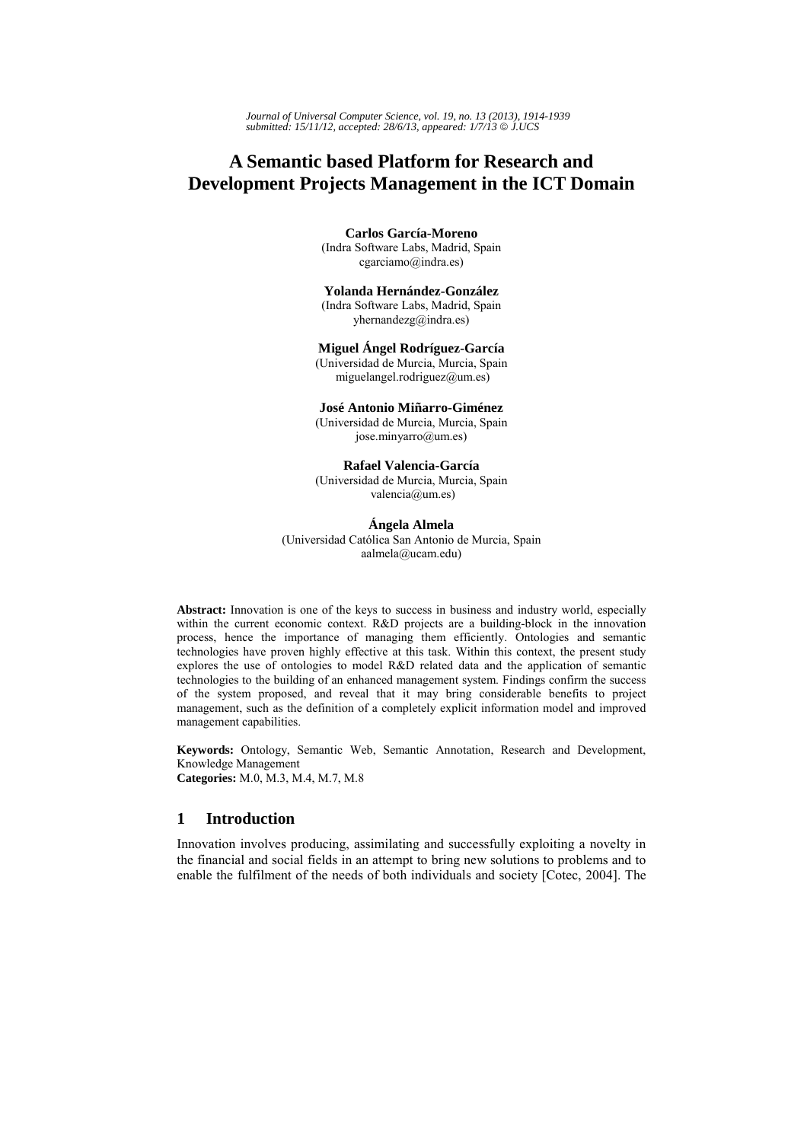*Journal of Universal Computer Science, vol. 19, no. 13 (2013), 1914-1939 submitted: 15/11/12, accepted: 28/6/13, appeared: 1/7/13* © *J.UCS*

# **A Semantic based Platform for Research and Development Projects Management in the ICT Domain**

#### **Carlos García-Moreno**

(Indra Software Labs, Madrid, Spain cgarciamo@indra.es)

#### **Yolanda Hernández-González**

(Indra Software Labs, Madrid, Spain yhernandezg@indra.es)

#### **Miguel Ángel Rodríguez-García**

(Universidad de Murcia, Murcia, Spain miguelangel.rodriguez@um.es)

## **José Antonio Miñarro-Giménez**

(Universidad de Murcia, Murcia, Spain jose.minyarro@um.es)

#### **Rafael Valencia-García**

(Universidad de Murcia, Murcia, Spain valencia@um.es)

# **Ángela Almela**

(Universidad Católica San Antonio de Murcia, Spain aalmela@ucam.edu)

**Abstract:** Innovation is one of the keys to success in business and industry world, especially within the current economic context. R&D projects are a building-block in the innovation process, hence the importance of managing them efficiently. Ontologies and semantic technologies have proven highly effective at this task. Within this context, the present study explores the use of ontologies to model R&D related data and the application of semantic technologies to the building of an enhanced management system. Findings confirm the success of the system proposed, and reveal that it may bring considerable benefits to project management, such as the definition of a completely explicit information model and improved management capabilities.

**Keywords:** Ontology, Semantic Web, Semantic Annotation, Research and Development, Knowledge Management **Categories:** M.0, M.3, M.4, M.7, M.8

# **1 Introduction**

Innovation involves producing, assimilating and successfully exploiting a novelty in the financial and social fields in an attempt to bring new solutions to problems and to enable the fulfilment of the needs of both individuals and society [Cotec, 2004]. The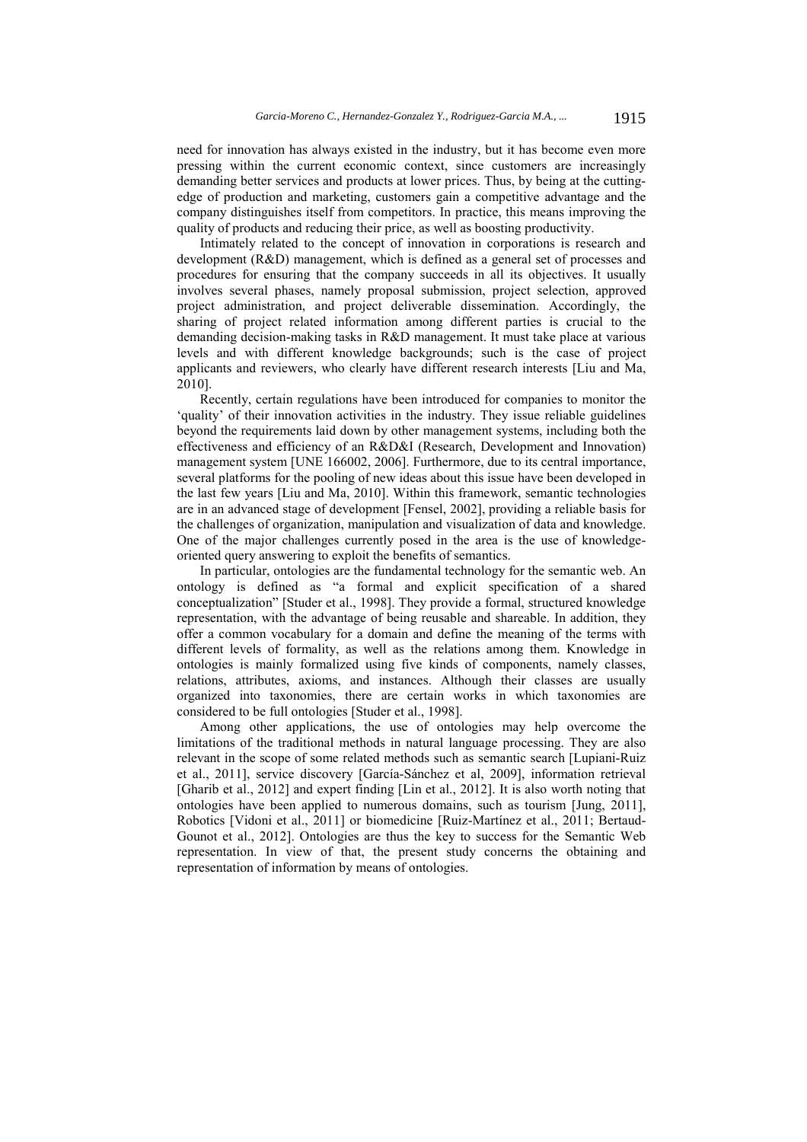need for innovation has always existed in the industry, but it has become even more pressing within the current economic context, since customers are increasingly demanding better services and products at lower prices. Thus, by being at the cuttingedge of production and marketing, customers gain a competitive advantage and the company distinguishes itself from competitors. In practice, this means improving the quality of products and reducing their price, as well as boosting productivity.

Intimately related to the concept of innovation in corporations is research and development (R&D) management, which is defined as a general set of processes and procedures for ensuring that the company succeeds in all its objectives. It usually involves several phases, namely proposal submission, project selection, approved project administration, and project deliverable dissemination. Accordingly, the sharing of project related information among different parties is crucial to the demanding decision-making tasks in R&D management. It must take place at various levels and with different knowledge backgrounds; such is the case of project applicants and reviewers, who clearly have different research interests [Liu and Ma, 2010].

Recently, certain regulations have been introduced for companies to monitor the 'quality' of their innovation activities in the industry. They issue reliable guidelines beyond the requirements laid down by other management systems, including both the effectiveness and efficiency of an R&D&I (Research, Development and Innovation) management system [UNE 166002, 2006]. Furthermore, due to its central importance, several platforms for the pooling of new ideas about this issue have been developed in the last few years [Liu and Ma, 2010]. Within this framework, semantic technologies are in an advanced stage of development [Fensel, 2002], providing a reliable basis for the challenges of organization, manipulation and visualization of data and knowledge. One of the major challenges currently posed in the area is the use of knowledgeoriented query answering to exploit the benefits of semantics.

In particular, ontologies are the fundamental technology for the semantic web. An ontology is defined as "a formal and explicit specification of a shared conceptualization" [Studer et al., 1998]. They provide a formal, structured knowledge representation, with the advantage of being reusable and shareable. In addition, they offer a common vocabulary for a domain and define the meaning of the terms with different levels of formality, as well as the relations among them. Knowledge in ontologies is mainly formalized using five kinds of components, namely classes, relations, attributes, axioms, and instances. Although their classes are usually organized into taxonomies, there are certain works in which taxonomies are considered to be full ontologies [Studer et al., 1998].

Among other applications, the use of ontologies may help overcome the limitations of the traditional methods in natural language processing. They are also relevant in the scope of some related methods such as semantic search [Lupiani-Ruiz et al., 2011], service discovery [García-Sánchez et al, 2009], information retrieval [Gharib et al., 2012] and expert finding [Lin et al., 2012]. It is also worth noting that ontologies have been applied to numerous domains, such as tourism [Jung, 2011], Robotics [Vidoni et al., 2011] or biomedicine [Ruiz-Martínez et al., 2011; Bertaud-Gounot et al., 2012]. Ontologies are thus the key to success for the Semantic Web representation. In view of that, the present study concerns the obtaining and representation of information by means of ontologies.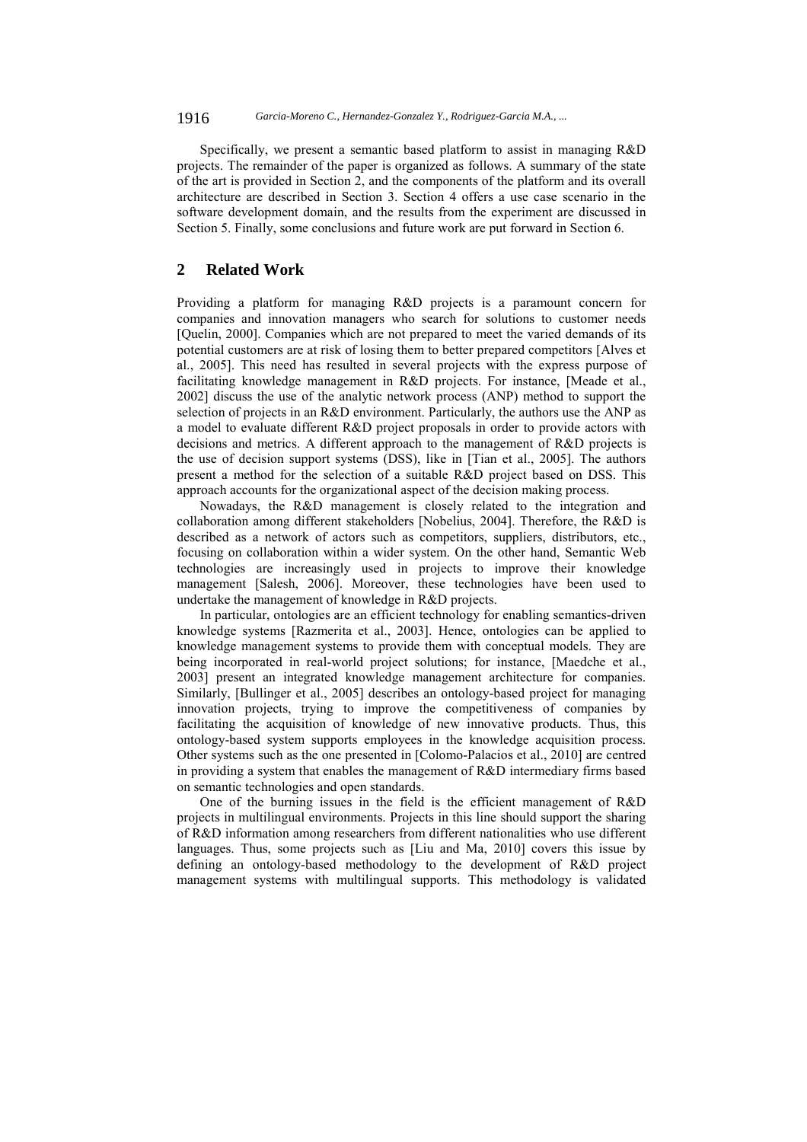1916 *Garcia-Moreno C., Hernandez-Gonzalez Y., Rodriguez-Garcia M.A., ...*

Specifically, we present a semantic based platform to assist in managing R&D projects. The remainder of the paper is organized as follows. A summary of the state of the art is provided in Section 2, and the components of the platform and its overall architecture are described in Section 3. Section 4 offers a use case scenario in the software development domain, and the results from the experiment are discussed in Section 5. Finally, some conclusions and future work are put forward in Section 6.

# **2 Related Work**

Providing a platform for managing R&D projects is a paramount concern for companies and innovation managers who search for solutions to customer needs [Quelin, 2000]. Companies which are not prepared to meet the varied demands of its potential customers are at risk of losing them to better prepared competitors [Alves et al., 2005]. This need has resulted in several projects with the express purpose of facilitating knowledge management in R&D projects. For instance, [Meade et al., 2002] discuss the use of the analytic network process (ANP) method to support the selection of projects in an R&D environment. Particularly, the authors use the ANP as a model to evaluate different R&D project proposals in order to provide actors with decisions and metrics. A different approach to the management of R&D projects is the use of decision support systems (DSS), like in [Tian et al., 2005]. The authors present a method for the selection of a suitable R&D project based on DSS. This approach accounts for the organizational aspect of the decision making process.

Nowadays, the R&D management is closely related to the integration and collaboration among different stakeholders [Nobelius, 2004]. Therefore, the R&D is described as a network of actors such as competitors, suppliers, distributors, etc., focusing on collaboration within a wider system. On the other hand, Semantic Web technologies are increasingly used in projects to improve their knowledge management [Salesh, 2006]. Moreover, these technologies have been used to undertake the management of knowledge in R&D projects.

In particular, ontologies are an efficient technology for enabling semantics-driven knowledge systems [Razmerita et al., 2003]. Hence, ontologies can be applied to knowledge management systems to provide them with conceptual models. They are being incorporated in real-world project solutions; for instance, [Maedche et al., 2003] present an integrated knowledge management architecture for companies. Similarly, [Bullinger et al., 2005] describes an ontology-based project for managing innovation projects, trying to improve the competitiveness of companies by facilitating the acquisition of knowledge of new innovative products. Thus, this ontology-based system supports employees in the knowledge acquisition process. Other systems such as the one presented in [Colomo-Palacios et al., 2010] are centred in providing a system that enables the management of R&D intermediary firms based on semantic technologies and open standards.

One of the burning issues in the field is the efficient management of R&D projects in multilingual environments. Projects in this line should support the sharing of R&D information among researchers from different nationalities who use different languages. Thus, some projects such as [Liu and Ma, 2010] covers this issue by defining an ontology-based methodology to the development of R&D project management systems with multilingual supports. This methodology is validated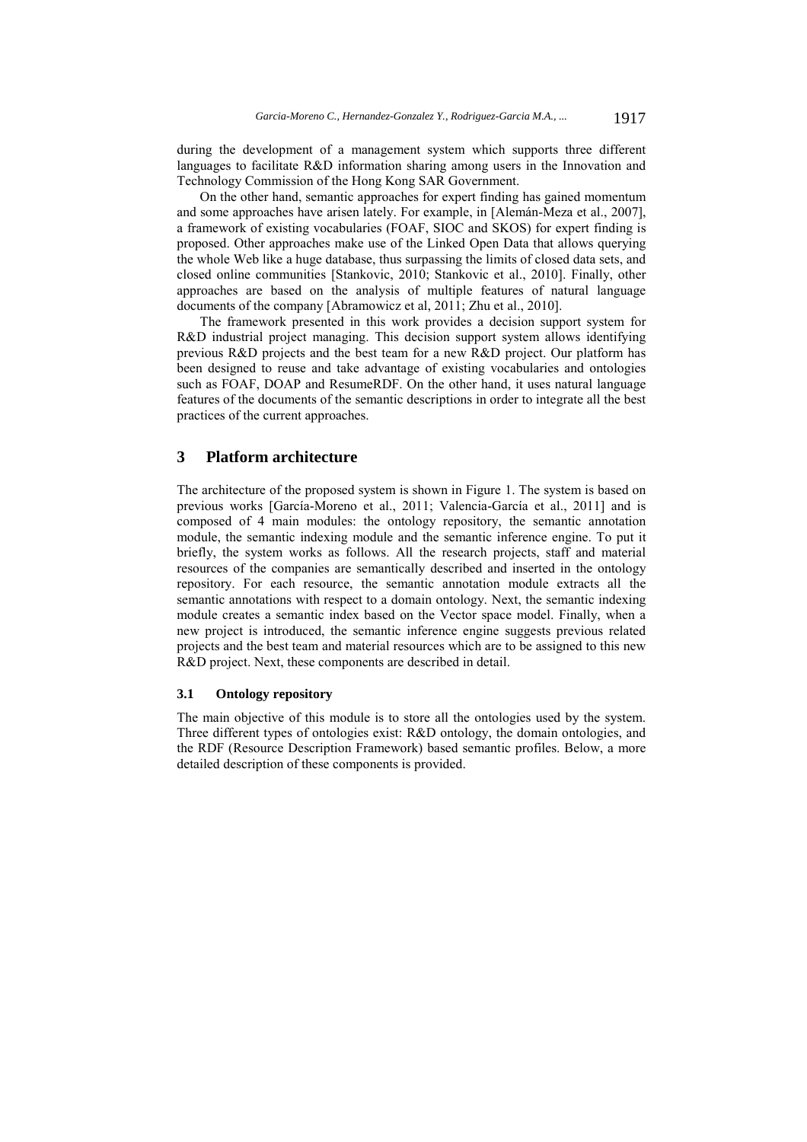during the development of a management system which supports three different languages to facilitate R&D information sharing among users in the Innovation and Technology Commission of the Hong Kong SAR Government.

On the other hand, semantic approaches for expert finding has gained momentum and some approaches have arisen lately. For example, in [Alemán-Meza et al., 2007], a framework of existing vocabularies (FOAF, SIOC and SKOS) for expert finding is proposed. Other approaches make use of the Linked Open Data that allows querying the whole Web like a huge database, thus surpassing the limits of closed data sets, and closed online communities [Stankovic, 2010; Stankovic et al., 2010]. Finally, other approaches are based on the analysis of multiple features of natural language documents of the company [Abramowicz et al, 2011; Zhu et al., 2010].

The framework presented in this work provides a decision support system for R&D industrial project managing. This decision support system allows identifying previous R&D projects and the best team for a new R&D project. Our platform has been designed to reuse and take advantage of existing vocabularies and ontologies such as FOAF, DOAP and ResumeRDF. On the other hand, it uses natural language features of the documents of the semantic descriptions in order to integrate all the best practices of the current approaches.

# **3 Platform architecture**

The architecture of the proposed system is shown in Figure 1. The system is based on previous works [García-Moreno et al., 2011; Valencia-García et al., 2011] and is composed of 4 main modules: the ontology repository, the semantic annotation module, the semantic indexing module and the semantic inference engine. To put it briefly, the system works as follows. All the research projects, staff and material resources of the companies are semantically described and inserted in the ontology repository. For each resource, the semantic annotation module extracts all the semantic annotations with respect to a domain ontology. Next, the semantic indexing module creates a semantic index based on the Vector space model. Finally, when a new project is introduced, the semantic inference engine suggests previous related projects and the best team and material resources which are to be assigned to this new R&D project. Next, these components are described in detail.

# **3.1 Ontology repository**

The main objective of this module is to store all the ontologies used by the system. Three different types of ontologies exist: R&D ontology, the domain ontologies, and the RDF (Resource Description Framework) based semantic profiles. Below, a more detailed description of these components is provided.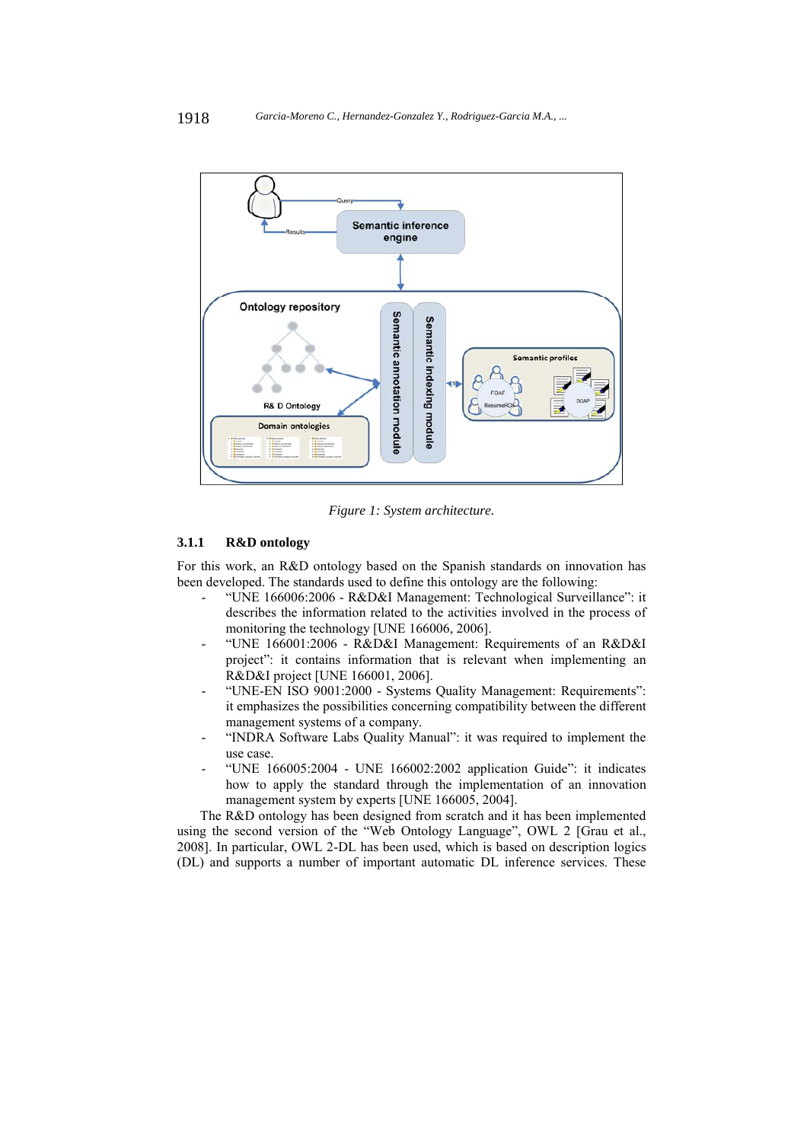

*Figure 1: System architecture.* 

# **3.1.1 R&D ontology**

For this work, an R&D ontology based on the Spanish standards on innovation has been developed. The standards used to define this ontology are the following:

- "UNE 166006:2006 R&D&I Management: Technological Surveillance": it describes the information related to the activities involved in the process of monitoring the technology [UNE 166006, 2006].
- "UNE 166001:2006 R&D&I Management: Requirements of an R&D&I project": it contains information that is relevant when implementing an R&D&I project [UNE 166001, 2006].
- "UNE-EN ISO 9001:2000 Systems Quality Management: Requirements": it emphasizes the possibilities concerning compatibility between the different management systems of a company.
- "INDRA Software Labs Quality Manual": it was required to implement the use case.
- "UNE 166005:2004 UNE 166002:2002 application Guide": it indicates how to apply the standard through the implementation of an innovation management system by experts [UNE 166005, 2004].

The R&D ontology has been designed from scratch and it has been implemented using the second version of the "Web Ontology Language", OWL 2 [Grau et al., 2008]. In particular, OWL 2-DL has been used, which is based on description logics (DL) and supports a number of important automatic DL inference services. These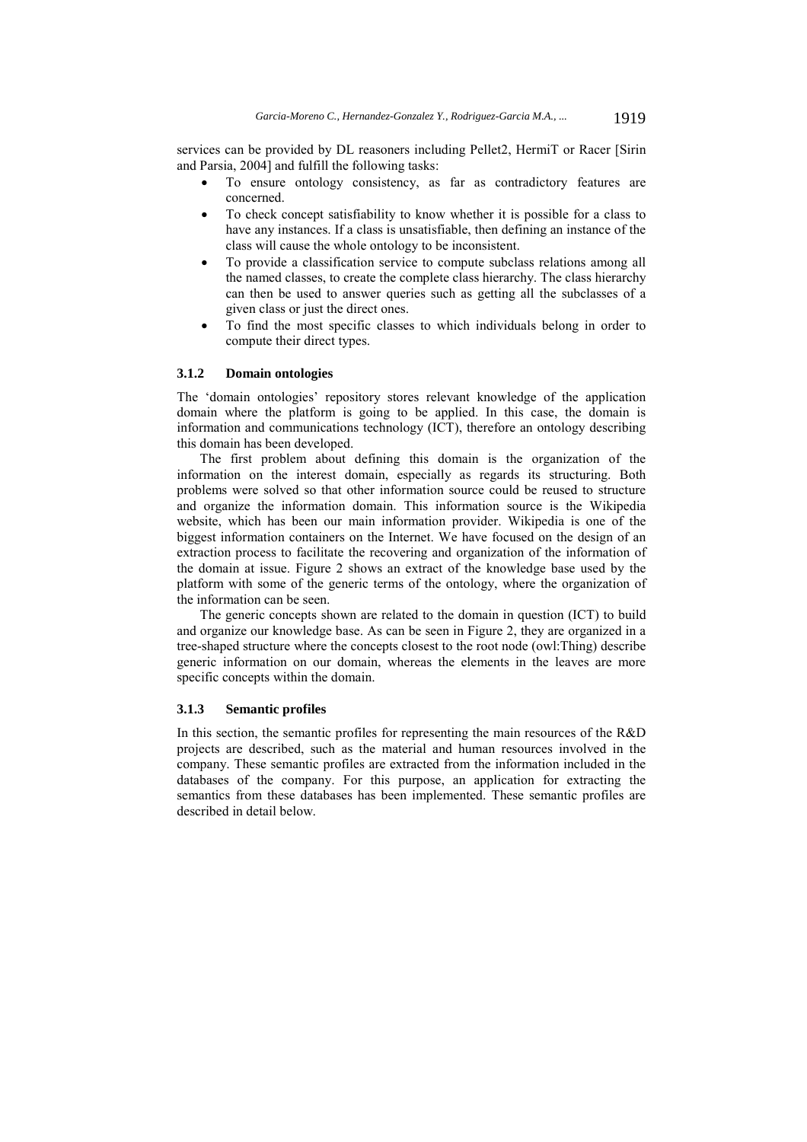services can be provided by DL reasoners including Pellet2, HermiT or Racer [Sirin and Parsia, 2004] and fulfill the following tasks:

- To ensure ontology consistency, as far as contradictory features are concerned.
- To check concept satisfiability to know whether it is possible for a class to have any instances. If a class is unsatisfiable, then defining an instance of the class will cause the whole ontology to be inconsistent.
- To provide a classification service to compute subclass relations among all the named classes, to create the complete class hierarchy. The class hierarchy can then be used to answer queries such as getting all the subclasses of a given class or just the direct ones.
- To find the most specific classes to which individuals belong in order to compute their direct types.

#### **3.1.2 Domain ontologies**

The 'domain ontologies' repository stores relevant knowledge of the application domain where the platform is going to be applied. In this case, the domain is information and communications technology (ICT), therefore an ontology describing this domain has been developed.

The first problem about defining this domain is the organization of the information on the interest domain, especially as regards its structuring. Both problems were solved so that other information source could be reused to structure and organize the information domain. This information source is the Wikipedia website, which has been our main information provider. Wikipedia is one of the biggest information containers on the Internet. We have focused on the design of an extraction process to facilitate the recovering and organization of the information of the domain at issue. Figure 2 shows an extract of the knowledge base used by the platform with some of the generic terms of the ontology, where the organization of the information can be seen.

The generic concepts shown are related to the domain in question (ICT) to build and organize our knowledge base. As can be seen in Figure 2, they are organized in a tree-shaped structure where the concepts closest to the root node (owl:Thing) describe generic information on our domain, whereas the elements in the leaves are more specific concepts within the domain.

## **3.1.3 Semantic profiles**

In this section, the semantic profiles for representing the main resources of the R&D projects are described, such as the material and human resources involved in the company. These semantic profiles are extracted from the information included in the databases of the company. For this purpose, an application for extracting the semantics from these databases has been implemented. These semantic profiles are described in detail below.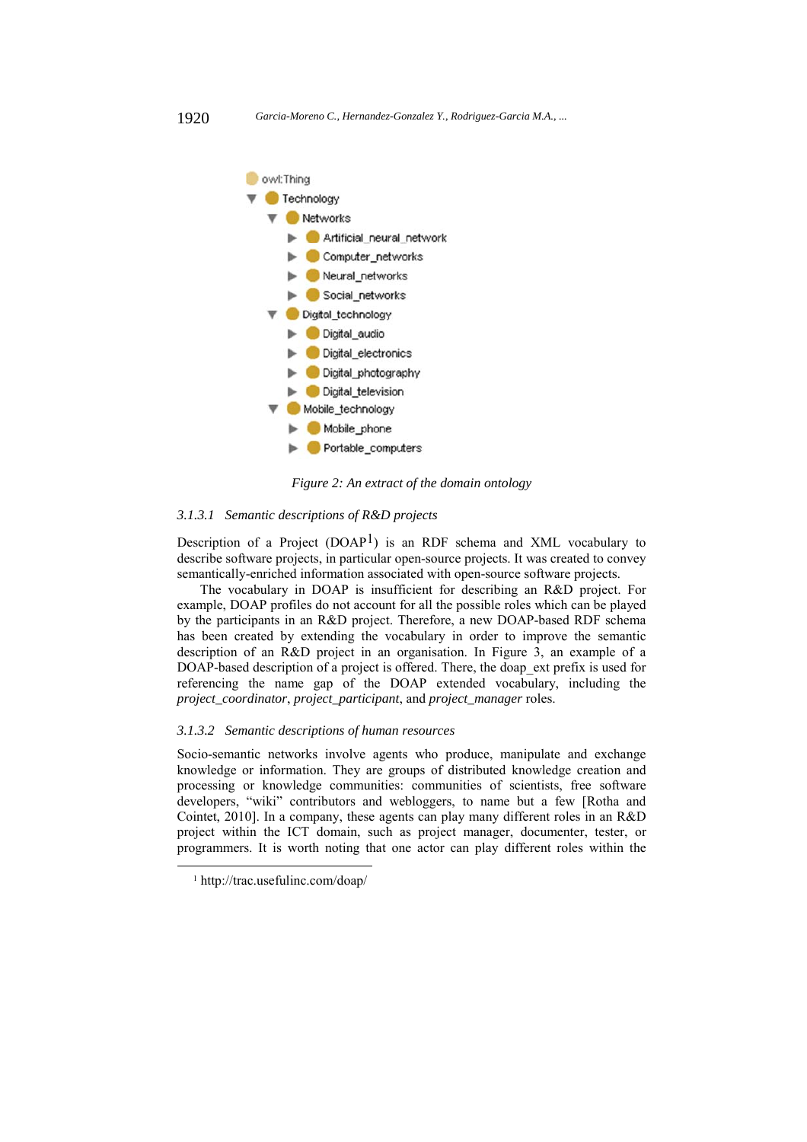

*Figure 2: An extract of the domain ontology* 

# *3.1.3.1 Semantic descriptions of R&D projects*

Description of a Project  $(DOAP<sup>1</sup>)$  is an RDF schema and XML vocabulary to describe software projects, in particular open-source projects. It was created to convey semantically-enriched information associated with open-source software projects.

The vocabulary in DOAP is insufficient for describing an R&D project. For example, DOAP profiles do not account for all the possible roles which can be played by the participants in an R&D project. Therefore, a new DOAP-based RDF schema has been created by extending the vocabulary in order to improve the semantic description of an R&D project in an organisation. In Figure 3, an example of a DOAP-based description of a project is offered. There, the doap\_ext prefix is used for referencing the name gap of the DOAP extended vocabulary, including the *project\_coordinator*, *project\_participant*, and *project\_manager* roles.

#### *3.1.3.2 Semantic descriptions of human resources*

Socio-semantic networks involve agents who produce, manipulate and exchange knowledge or information. They are groups of distributed knowledge creation and processing or knowledge communities: communities of scientists, free software developers, "wiki" contributors and webloggers, to name but a few [Rotha and Cointet, 2010]. In a company, these agents can play many different roles in an R&D project within the ICT domain, such as project manager, documenter, tester, or programmers. It is worth noting that one actor can play different roles within the

 <sup>1</sup> http://trac.usefulinc.com/doap/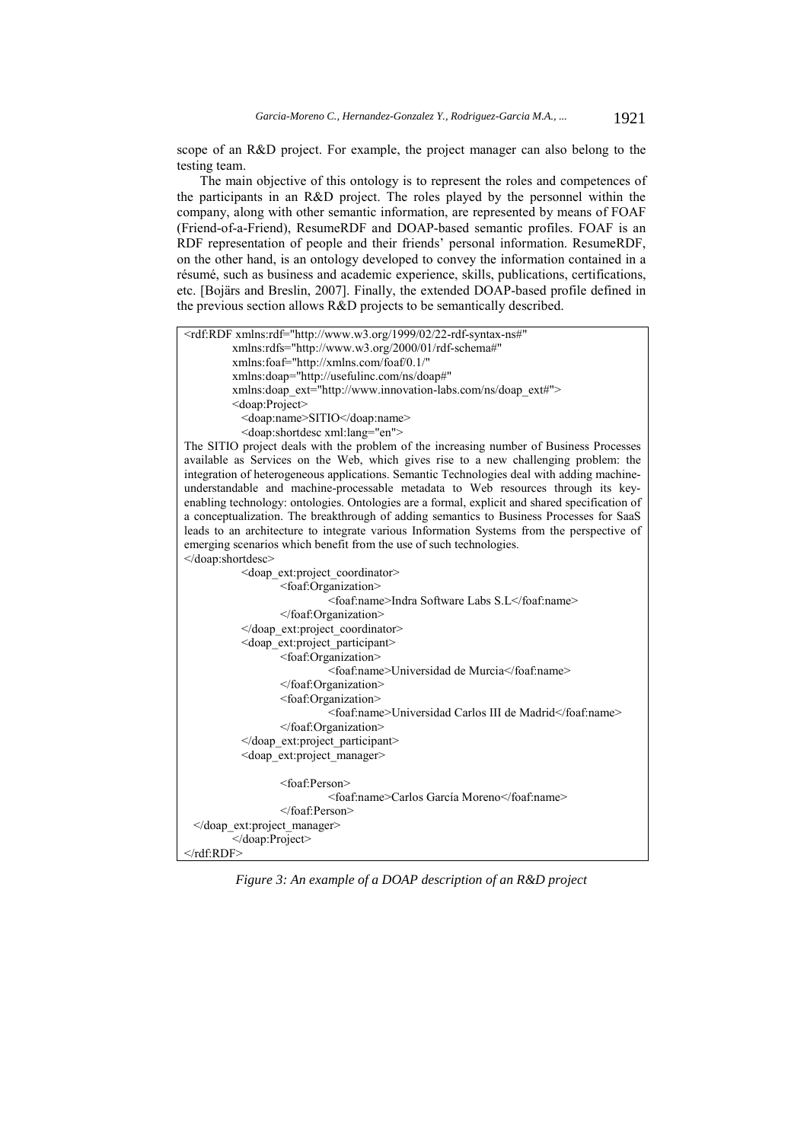scope of an R&D project. For example, the project manager can also belong to the testing team.

The main objective of this ontology is to represent the roles and competences of the participants in an R&D project. The roles played by the personnel within the company, along with other semantic information, are represented by means of FOAF (Friend-of-a-Friend), ResumeRDF and DOAP-based semantic profiles. FOAF is an RDF representation of people and their friends' personal information. ResumeRDF, on the other hand, is an ontology developed to convey the information contained in a résumé, such as business and academic experience, skills, publications, certifications, etc. [Bojärs and Breslin, 2007]. Finally, the extended DOAP-based profile defined in the previous section allows R&D projects to be semantically described.



*Figure 3: An example of a DOAP description of an R&D project*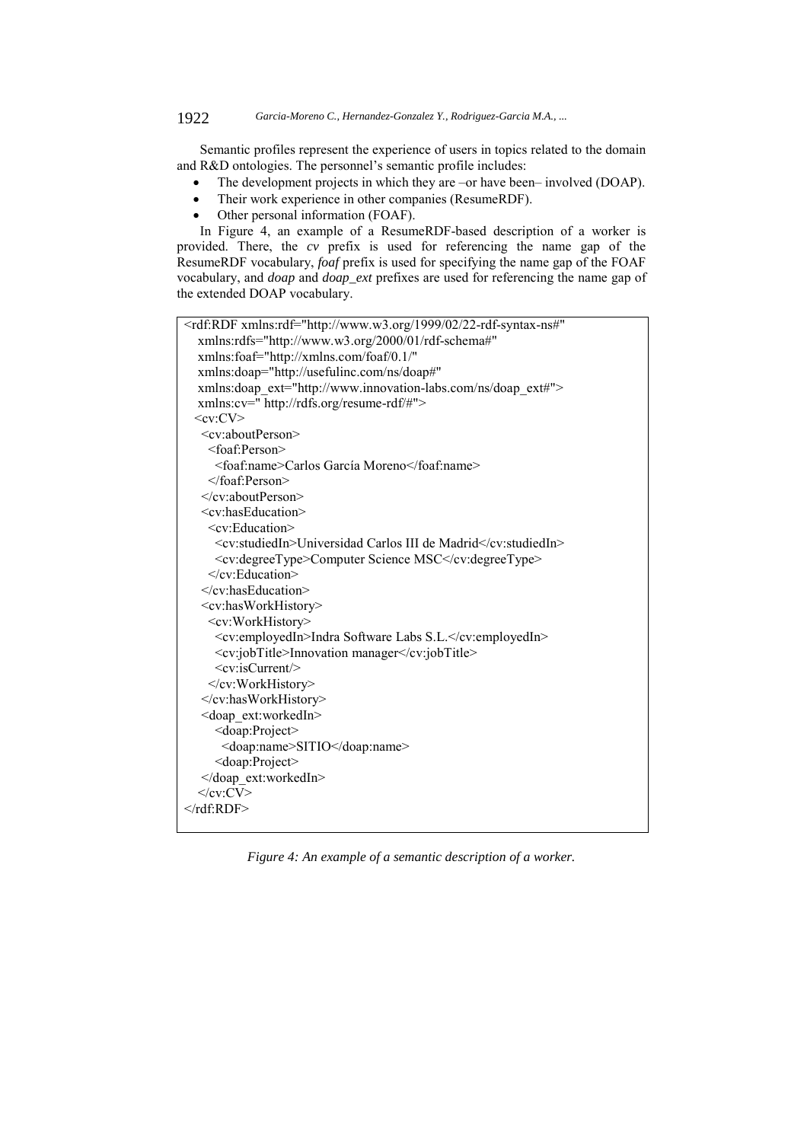## 1922 *Garcia-Moreno C., Hernandez-Gonzalez Y., Rodriguez-Garcia M.A., ...*

Semantic profiles represent the experience of users in topics related to the domain and R&D ontologies. The personnel's semantic profile includes:

- The development projects in which they are –or have been– involved (DOAP).
- Their work experience in other companies (ResumeRDF).
- Other personal information (FOAF).

In Figure 4, an example of a ResumeRDF-based description of a worker is provided. There, the *cv* prefix is used for referencing the name gap of the ResumeRDF vocabulary, *foaf* prefix is used for specifying the name gap of the FOAF vocabulary, and *doap* and *doap\_ext* prefixes are used for referencing the name gap of the extended DOAP vocabulary.

| <rdf:rdf <="" th="" xmlns:rdf="http://www.w3.org/1999/02/22-rdf-syntax-ns#"></rdf:rdf> |
|----------------------------------------------------------------------------------------|
| xmlns:rdfs="http://www.w3.org/2000/01/rdf-schema#"                                     |
| xmlns:foaf="http://xmlns.com/foaf/0.1/"                                                |
| xmlns:doap="http://usefulinc.com/ns/doap#"                                             |
| xmlns:doap ext="http://www.innovation-labs.com/ns/doap_ext#">                          |
| xmlns:cv=" http://rdfs.org/resume-rdf/#">                                              |
| $<$ cv:CV $>$                                                                          |
| $\langle cv:aboutPerson \rangle$                                                       |
| $<$ foaf:Person $>$                                                                    |
| <foaf:name>Carlos García Moreno</foaf:name>                                            |
|                                                                                        |
| $\langle$ /cv:aboutPerson>                                                             |
| <cv:haseducation></cv:haseducation>                                                    |
| $\leq$ cv:Education>                                                                   |
| <cv:studiedin>Universidad Carlos III de Madrid</cv:studiedin>                          |
| <cv:degreetype>Computer Science MSC</cv:degreetype>                                    |
| $\le$ /cv:Education>                                                                   |
| $\le$ /cv:hasEducation>                                                                |
| <cv:hasworkhistory></cv:hasworkhistory>                                                |
| <cv:workhistory></cv:workhistory>                                                      |
| <cv:employedin>Indra Software Labs S.L.</cv:employedin>                                |
| <cv:jobtitle>Innovation manager</cv:jobtitle>                                          |
| $<$ cv:isCurrent $>$                                                                   |
|                                                                                        |
|                                                                                        |
| <doap ext:workedin=""></doap>                                                          |
| <doap:project></doap:project>                                                          |
| <doap:name>SITIO</doap:name>                                                           |
| <doap:project></doap:project>                                                          |
|                                                                                        |
| $\langle$ /cv:CV>                                                                      |
| $\langle rdf$ :RDF>                                                                    |
|                                                                                        |

*Figure 4: An example of a semantic description of a worker.*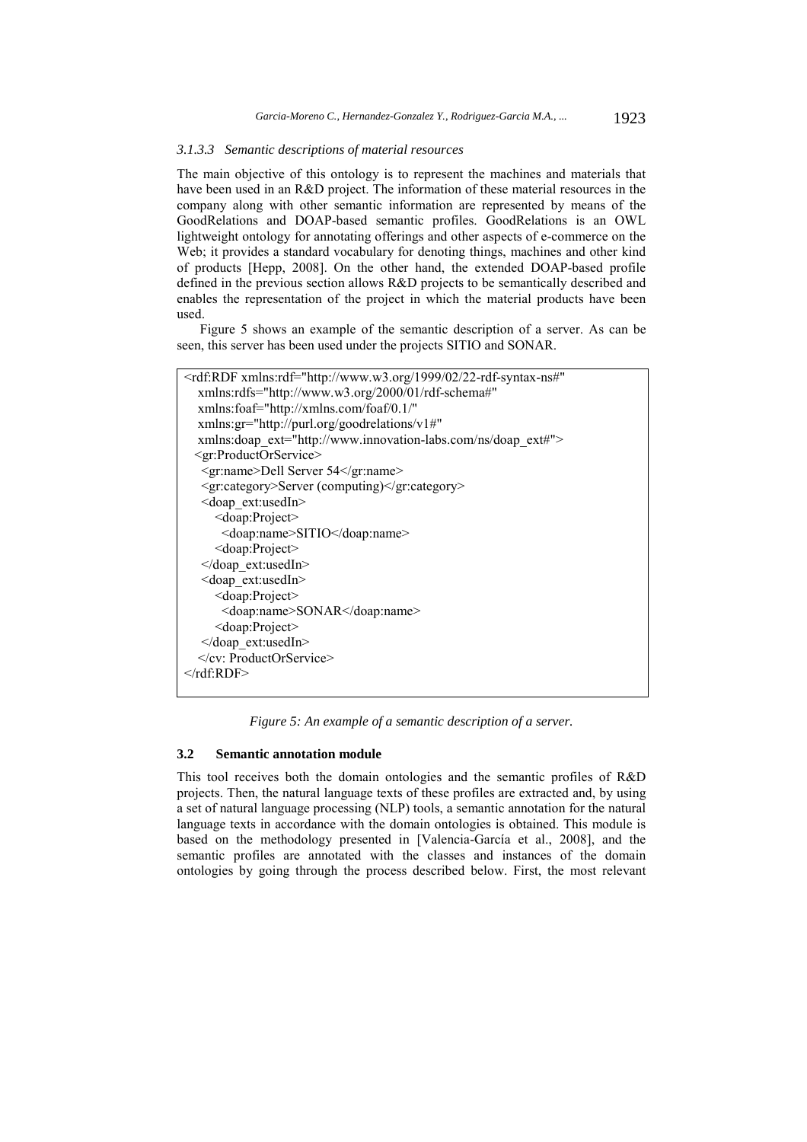#### *3.1.3.3 Semantic descriptions of material resources*

The main objective of this ontology is to represent the machines and materials that have been used in an R&D project. The information of these material resources in the company along with other semantic information are represented by means of the GoodRelations and DOAP-based semantic profiles. GoodRelations is an OWL lightweight ontology for annotating offerings and other aspects of e-commerce on the Web; it provides a standard vocabulary for denoting things, machines and other kind of products [Hepp, 2008]. On the other hand, the extended DOAP-based profile defined in the previous section allows R&D projects to be semantically described and enables the representation of the project in which the material products have been used.

Figure 5 shows an example of the semantic description of a server. As can be seen, this server has been used under the projects SITIO and SONAR.

| <rdf:rdf <="" th="" xmlns:rdf="http://www.w3.org/1999/02/22-rdf-syntax-ns#"></rdf:rdf> |
|----------------------------------------------------------------------------------------|
| xmlns:rdfs="http://www.w3.org/2000/01/rdf-schema#"                                     |
| xmlns:foaf="http://xmlns.com/foaf/0.1/"                                                |
| xmlns:gr="http://purl.org/goodrelations/v1#"                                           |
| xmlns:doap ext="http://www.innovation-labs.com/ns/doap ext#">                          |
| $\leq$ gr:ProductOrService>                                                            |
| <gr:name>Dell Server 54</gr:name>                                                      |
| <gr:category>Server (computing)</gr:category>                                          |
| $\leq$ doap ext:usedIn $\geq$                                                          |
| $\leq$ doap:Project $\geq$                                                             |
| <doap:name>SITIO</doap:name>                                                           |
| $\leq$ doap:Project $\geq$                                                             |
|                                                                                        |
| <doap ext:usedin=""></doap>                                                            |
| <doap:project></doap:project>                                                          |
| <doap:name>SONAR</doap:name>                                                           |
| $\leq$ doap:Project $\geq$                                                             |
|                                                                                        |
|                                                                                        |
| $\langle$ rdf:RDF>                                                                     |
|                                                                                        |

*Figure 5: An example of a semantic description of a server.* 

## **3.2 Semantic annotation module**

This tool receives both the domain ontologies and the semantic profiles of R&D projects. Then, the natural language texts of these profiles are extracted and, by using a set of natural language processing (NLP) tools, a semantic annotation for the natural language texts in accordance with the domain ontologies is obtained. This module is based on the methodology presented in [Valencia-García et al., 2008], and the semantic profiles are annotated with the classes and instances of the domain ontologies by going through the process described below. First, the most relevant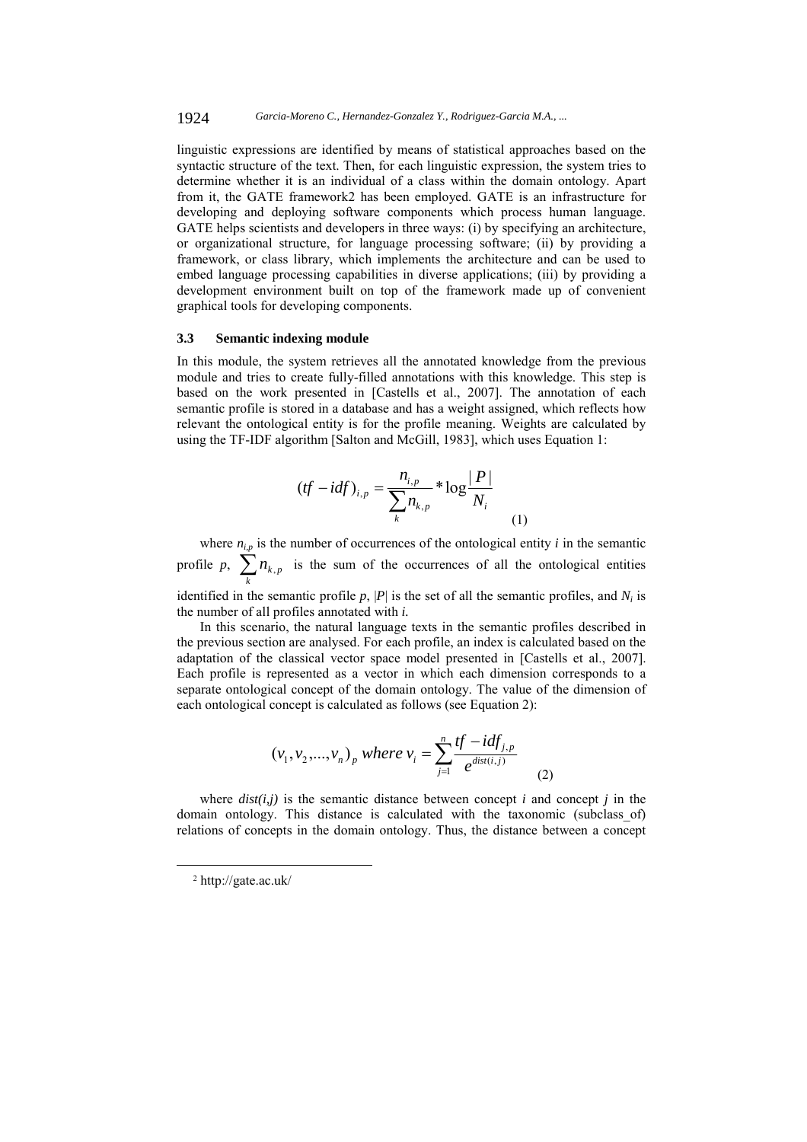linguistic expressions are identified by means of statistical approaches based on the syntactic structure of the text. Then, for each linguistic expression, the system tries to determine whether it is an individual of a class within the domain ontology. Apart from it, the GATE framework2 has been employed. GATE is an infrastructure for developing and deploying software components which process human language. GATE helps scientists and developers in three ways: (i) by specifying an architecture, or organizational structure, for language processing software; (ii) by providing a framework, or class library, which implements the architecture and can be used to embed language processing capabilities in diverse applications; (iii) by providing a development environment built on top of the framework made up of convenient graphical tools for developing components.

#### **3.3 Semantic indexing module**

the number of all profiles annotated with *i.*

In this module, the system retrieves all the annotated knowledge from the previous module and tries to create fully-filled annotations with this knowledge. This step is based on the work presented in [Castells et al., 2007]. The annotation of each semantic profile is stored in a database and has a weight assigned, which reflects how relevant the ontological entity is for the profile meaning. Weights are calculated by using the TF-IDF algorithm [Salton and McGill, 1983], which uses Equation 1:

$$
(tf - idf)_{i,p} = \frac{n_{i,p}}{\sum_{k=1}^{n} n_{k,p}} * \log \frac{|P|}{N_i}
$$
 (1)

where  $n_{i,p}$  is the number of occurrences of the ontological entity *i* in the semantic profile p,  $\sum_{k} n_{k,p}$  is the sum of the occurrences of all the ontological entities identified in the semantic profile  $p$ ,  $|P|$  is the set of all the semantic profiles, and  $N_i$  is  $n_{k, p}$ 

In this scenario, the natural language texts in the semantic profiles described in the previous section are analysed. For each profile, an index is calculated based on the adaptation of the classical vector space model presented in [Castells et al., 2007]. Each profile is represented as a vector in which each dimension corresponds to a separate ontological concept of the domain ontology. The value of the dimension of each ontological concept is calculated as follows (see Equation 2):

$$
(v_1, v_2,..., v_n)_p
$$
 where  $v_i = \sum_{j=1}^n \frac{tf - idf_{j,p}}{e^{dist(i,j)}}$  (2)

where  $dist(i, j)$  is the semantic distance between concept *i* and concept *j* in the domain ontology. This distance is calculated with the taxonomic (subclass\_of) relations of concepts in the domain ontology. Thus, the distance between a concept

 <sup>2</sup> http://gate.ac.uk/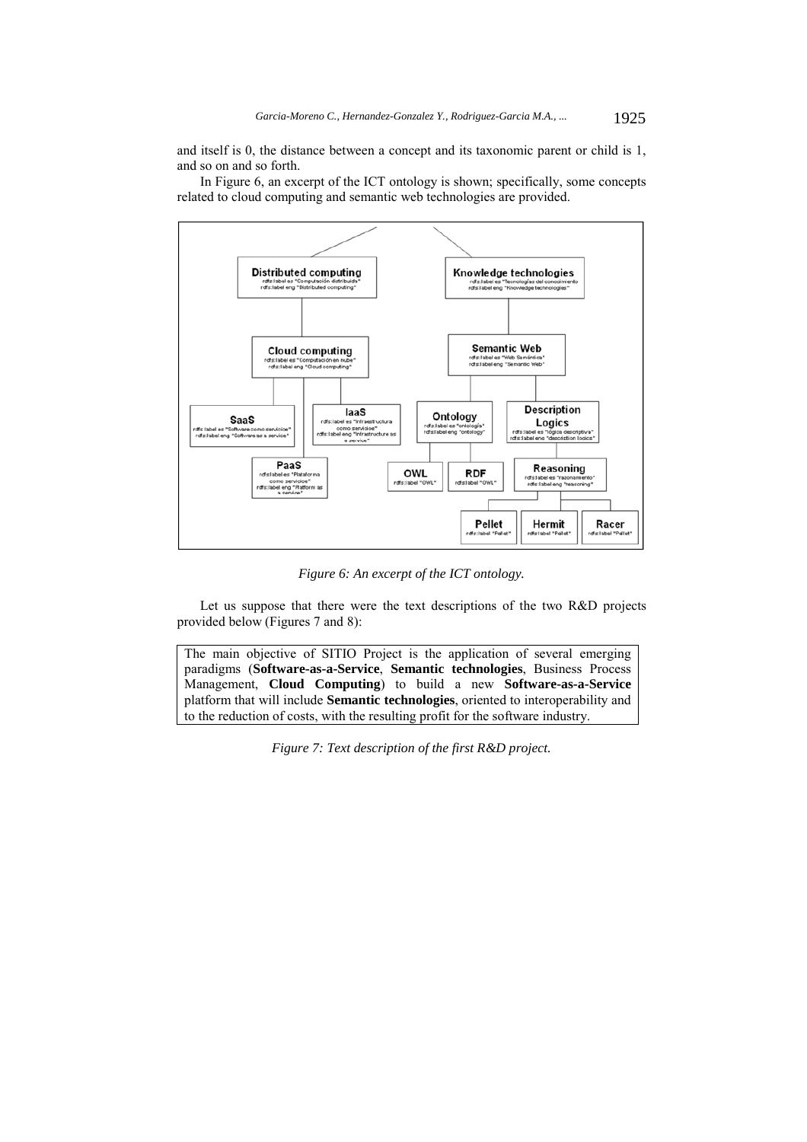and itself is 0, the distance between a concept and its taxonomic parent or child is 1, and so on and so forth.

In Figure 6, an excerpt of the ICT ontology is shown; specifically, some concepts related to cloud computing and semantic web technologies are provided.



*Figure 6: An excerpt of the ICT ontology.* 

Let us suppose that there were the text descriptions of the two R&D projects provided below (Figures 7 and 8):

The main objective of SITIO Project is the application of several emerging paradigms (**Software-as-a-Service**, **Semantic technologies**, Business Process Management, **Cloud Computing**) to build a new **Software-as-a-Service** platform that will include **Semantic technologies**, oriented to interoperability and to the reduction of costs, with the resulting profit for the software industry.

*Figure 7: Text description of the first R&D project.*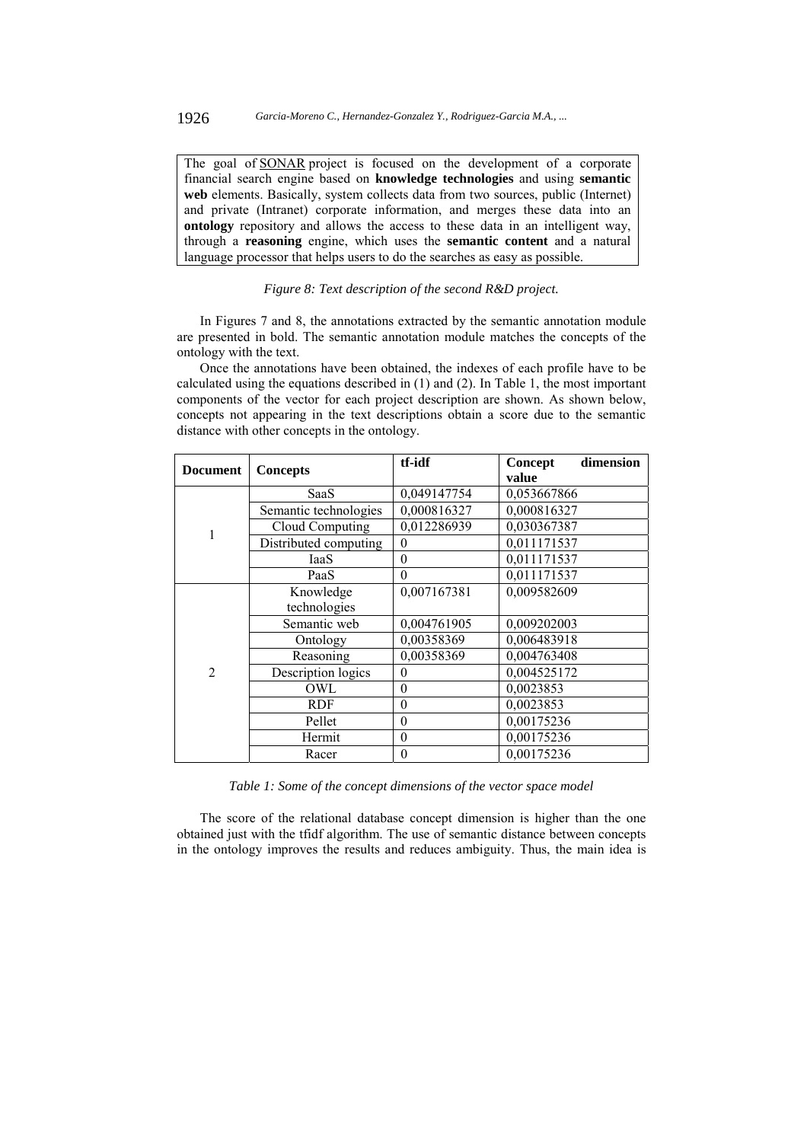The goal of SONAR project is focused on the development of a corporate financial search engine based on **knowledge technologies** and using **semantic web** elements. Basically, system collects data from two sources, public (Internet) and private (Intranet) corporate information, and merges these data into an **ontology** repository and allows the access to these data in an intelligent way, through a **reasoning** engine, which uses the **semantic content** and a natural language processor that helps users to do the searches as easy as possible.

# *Figure 8: Text description of the second R&D project.*

In Figures 7 and 8, the annotations extracted by the semantic annotation module are presented in bold. The semantic annotation module matches the concepts of the ontology with the text.

Once the annotations have been obtained, the indexes of each profile have to be calculated using the equations described in (1) and (2). In Table 1, the most important components of the vector for each project description are shown. As shown below, concepts not appearing in the text descriptions obtain a score due to the semantic distance with other concepts in the ontology.

| <b>Document</b> | <b>Concepts</b>       | tf-idf      | dimension<br>Concept<br>value |
|-----------------|-----------------------|-------------|-------------------------------|
|                 | SaaS                  | 0,049147754 | 0,053667866                   |
|                 | Semantic technologies | 0,000816327 | 0,000816327                   |
| 1               | Cloud Computing       | 0,012286939 | 0,030367387                   |
|                 | Distributed computing | 0           | 0,011171537                   |
|                 | IaaS                  | $\theta$    | 0,011171537                   |
|                 | PaaS                  | 0           | 0,011171537                   |
|                 | Knowledge             | 0,007167381 | 0,009582609                   |
|                 | technologies          |             |                               |
|                 | Semantic web          | 0,004761905 | 0,009202003                   |
|                 | Ontology              | 0,00358369  | 0,006483918                   |
| $\overline{2}$  | Reasoning             | 0,00358369  | 0,004763408                   |
|                 | Description logics    | $\theta$    | 0,004525172                   |
|                 | OWL                   | $\theta$    | 0,0023853                     |
|                 | <b>RDF</b>            | $\theta$    | 0,0023853                     |
|                 | Pellet                | $\theta$    | 0,00175236                    |
|                 | Hermit                | $\theta$    | 0,00175236                    |
|                 | Racer                 | $\theta$    | 0,00175236                    |

*Table 1: Some of the concept dimensions of the vector space model* 

The score of the relational database concept dimension is higher than the one obtained just with the tfidf algorithm. The use of semantic distance between concepts in the ontology improves the results and reduces ambiguity. Thus, the main idea is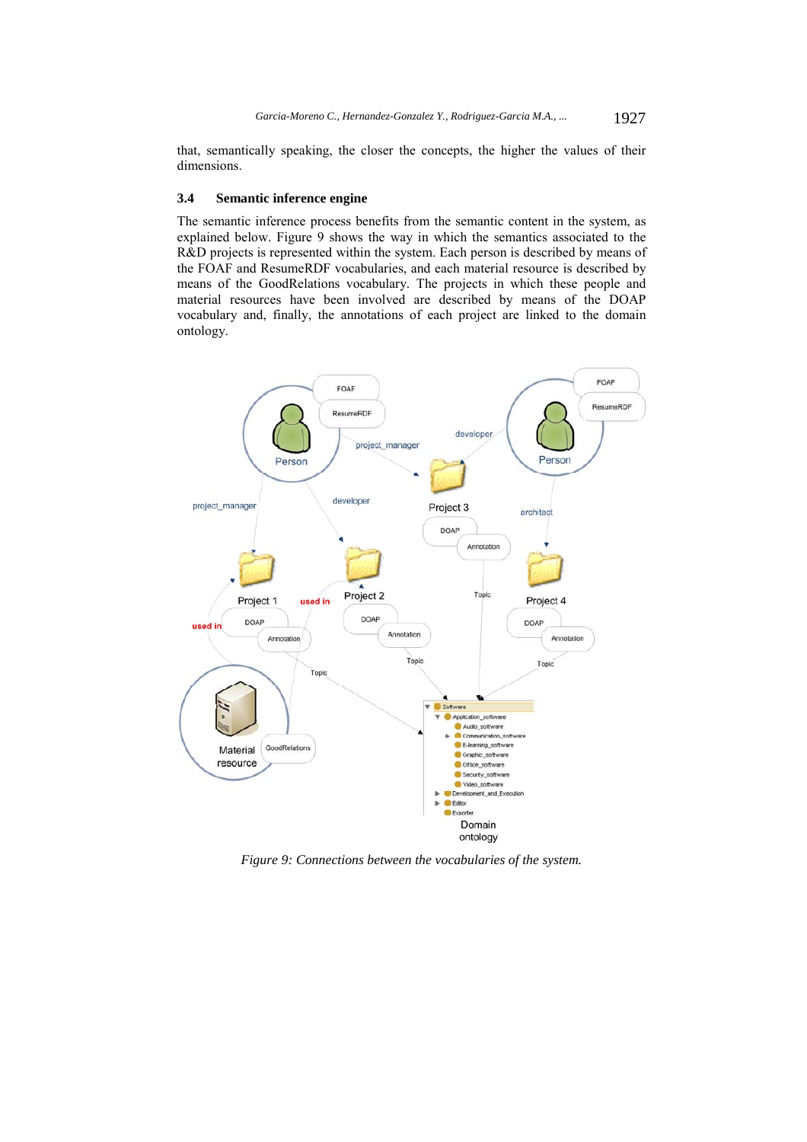that, semantically speaking, the closer the concepts, the higher the values of their dimensions.

#### **3.4 Semantic inference engine**

The semantic inference process benefits from the semantic content in the system, as explained below. Figure 9 shows the way in which the semantics associated to the R&D projects is represented within the system. Each person is described by means of the FOAF and ResumeRDF vocabularies, and each material resource is described by means of the GoodRelations vocabulary. The projects in which these people and material resources have been involved are described by means of the DOAP vocabulary and, finally, the annotations of each project are linked to the domain ontology.



*Figure 9: Connections between the vocabularies of the system.*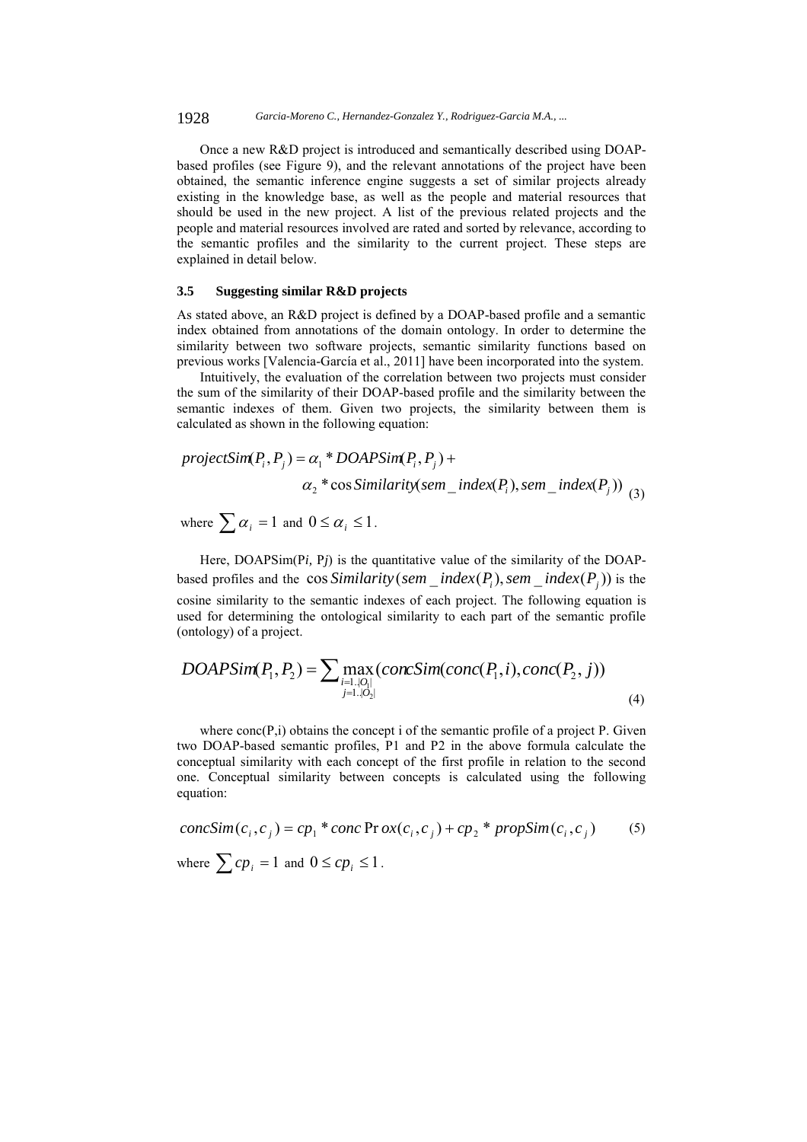1928 *Garcia-Moreno C., Hernandez-Gonzalez Y., Rodriguez-Garcia M.A., ...*

Once a new R&D project is introduced and semantically described using DOAPbased profiles (see Figure 9), and the relevant annotations of the project have been obtained, the semantic inference engine suggests a set of similar projects already existing in the knowledge base, as well as the people and material resources that should be used in the new project. A list of the previous related projects and the people and material resources involved are rated and sorted by relevance, according to the semantic profiles and the similarity to the current project. These steps are explained in detail below.

### **3.5 Suggesting similar R&D projects**

As stated above, an R&D project is defined by a DOAP-based profile and a semantic index obtained from annotations of the domain ontology. In order to determine the similarity between two software projects, semantic similarity functions based on previous works [Valencia-García et al., 2011] have been incorporated into the system.

Intuitively, the evaluation of the correlation between two projects must consider the sum of the similarity of their DOAP-based profile and the similarity between the semantic indexes of them. Given two projects, the similarity between them is calculated as shown in the following equation:

$$
projectSim(P_i, P_j) = \alpha_1 * DOAPSim(P_i, P_j) +
$$
  

$$
\alpha_2 * \cos Similarity(sem\_index(P_i), sem\_index(P_j))
$$
  

$$
\alpha_3
$$

where  $\sum \alpha_i = 1$  and  $0 \le \alpha_i \le 1$ .

Here, DOAPSim(P*i*, P<sub>*j*</sub>) is the quantitative value of the similarity of the DOAPbased profiles and the cos *Similarity* (*sem*  $\_index(P_i)$ *, sem*  $\_index(P_j)$ ) is the cosine similarity to the semantic indexes of each project. The following equation is used for determining the ontological similarity to each part of the semantic profile (ontology) of a project.

$$
DOAPSim(P_1, P_2) = \sum \max_{\substack{i=1..|O_i| \\ j=1..|O_2|}} (concSim(conc(P_1, i), conc(P_2, j))
$$
\n(4)

where  $conc(P,i)$  obtains the concept i of the semantic profile of a project P. Given two DOAP-based semantic profiles, P1 and P2 in the above formula calculate the conceptual similarity with each concept of the first profile in relation to the second one. Conceptual similarity between concepts is calculated using the following equation:

$$
concSim(c_i, c_j) = cp_1 * conc Pr ox(c_i, c_j) + cp_2 * propSim(c_i, c_j)
$$
(5)  
where  $\sum cp_i = 1$  and  $0 \le cp_i \le 1$ .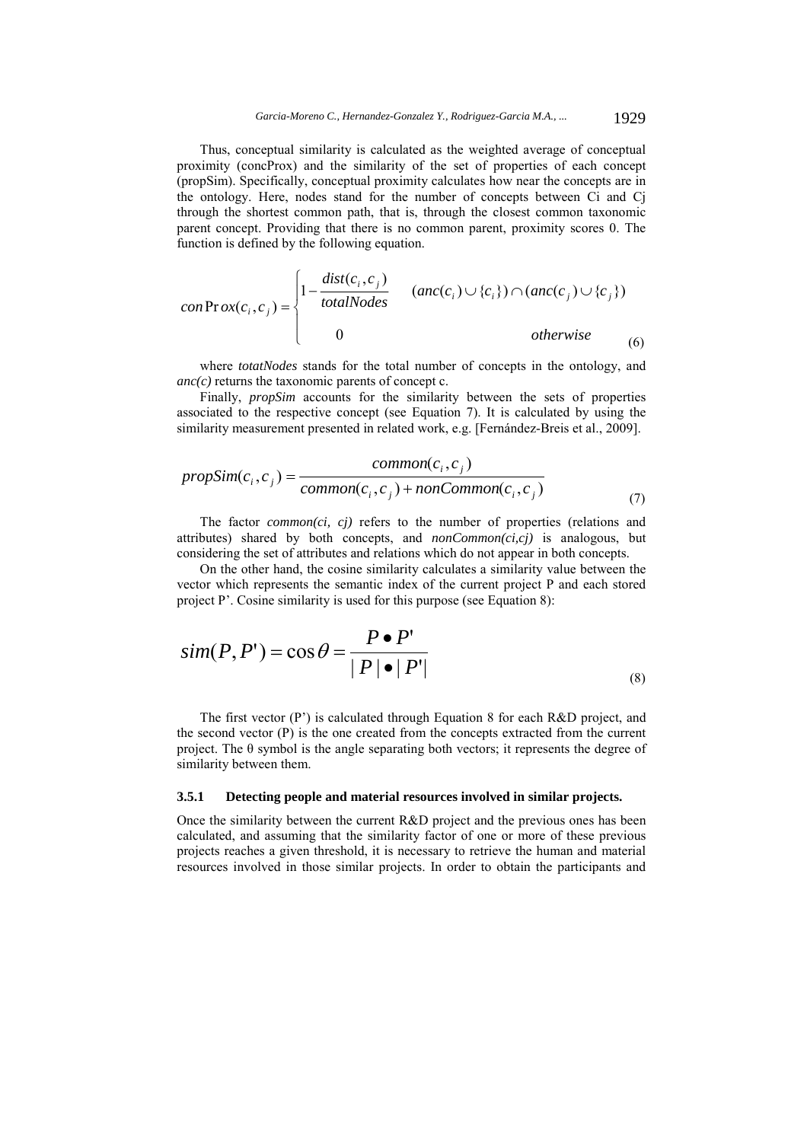Thus, conceptual similarity is calculated as the weighted average of conceptual proximity (concProx) and the similarity of the set of properties of each concept (propSim). Specifically, conceptual proximity calculates how near the concepts are in the ontology. Here, nodes stand for the number of concepts between Ci and Cj through the shortest common path, that is, through the closest common taxonomic parent concept. Providing that there is no common parent, proximity scores 0. The function is defined by the following equation.

$$
conProx(c_i, c_j) = \begin{cases} 1 - \frac{dist(c_i, c_j)}{totalNodes} & (anc(c_i) \cup \{c_i\}) \cap (anc(c_j) \cup \{c_j\}) \\ 0 & otherwise \end{cases}
$$
(6)

where *totatNodes* stands for the total number of concepts in the ontology, and *anc(c)* returns the taxonomic parents of concept c.

Finally, *propSim* accounts for the similarity between the sets of properties associated to the respective concept (see Equation 7). It is calculated by using the similarity measurement presented in related work, e.g. [Fernández-Breis et al., 2009].

$$
propSim(c_i, c_j) = \frac{common(c_i, c_j)}{common(c_i, c_j) + nonCommon(c_i, c_j)}
$$
\n(7)

The factor *common(ci, cj)* refers to the number of properties (relations and attributes) shared by both concepts, and *nonCommon(ci,cj)* is analogous, but considering the set of attributes and relations which do not appear in both concepts.

On the other hand, the cosine similarity calculates a similarity value between the vector which represents the semantic index of the current project P and each stored project P'. Cosine similarity is used for this purpose (see Equation 8):

$$
sim(P, P') = cos \theta = \frac{P \cdot P'}{|P| \cdot |P'|}
$$
\n(8)

The first vector (P') is calculated through Equation 8 for each R&D project, and the second vector (P) is the one created from the concepts extracted from the current project. The θ symbol is the angle separating both vectors; it represents the degree of similarity between them.

## **3.5.1 Detecting people and material resources involved in similar projects.**

Once the similarity between the current R&D project and the previous ones has been calculated, and assuming that the similarity factor of one or more of these previous projects reaches a given threshold, it is necessary to retrieve the human and material resources involved in those similar projects. In order to obtain the participants and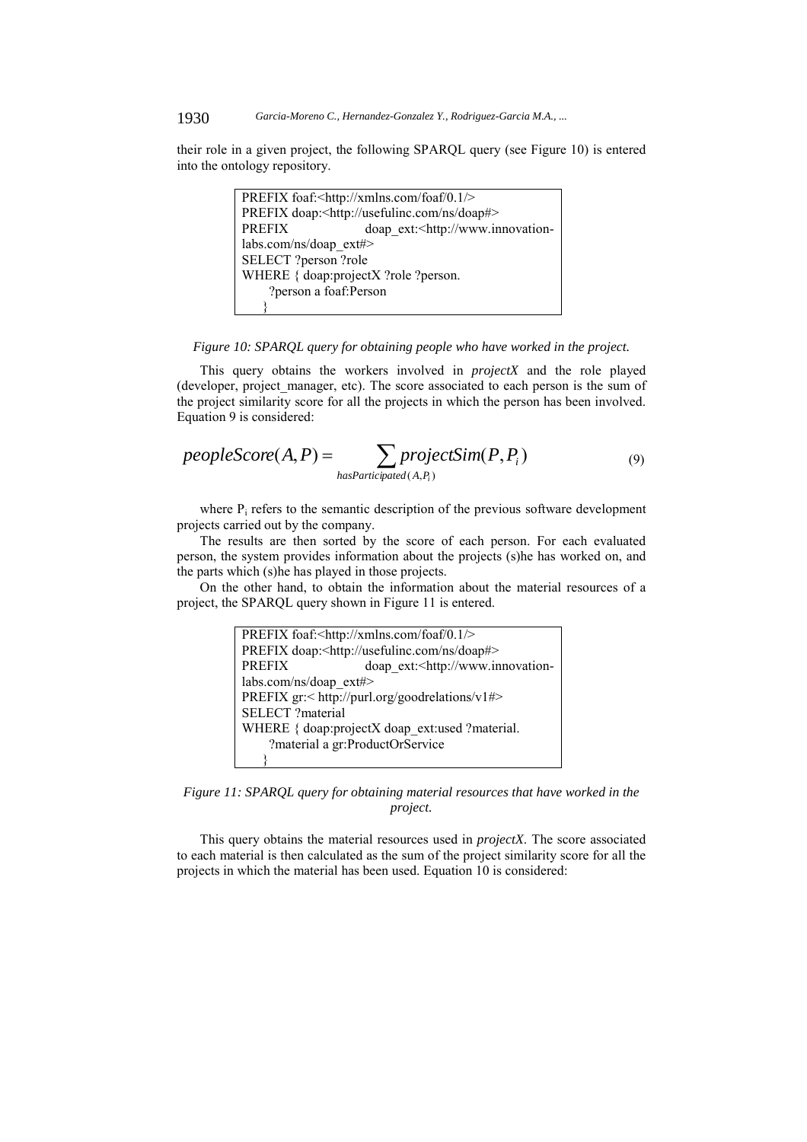#### 1930 *Garcia-Moreno C., Hernandez-Gonzalez Y., Rodriguez-Garcia M.A., ...*

their role in a given project, the following SPARQL query (see Figure 10) is entered into the ontology repository.

> PREFIX foaf:<http://xmlns.com/foaf/0.1/> PREFIX doap:<http://usefulinc.com/ns/doap#> PREFIX doap ext:<http://www.innovationlabs.com/ns/doap\_ext#> SELECT ?person ?role WHERE { doap:projectX ?role ?person. ?person a foaf:Person }

#### *Figure 10: SPARQL query for obtaining people who have worked in the project.*

This query obtains the workers involved in *projectX* and the role played (developer, project\_manager, etc). The score associated to each person is the sum of the project similarity score for all the projects in which the person has been involved. Equation 9 is considered:

$$
peopleScore(A, P) = \sum_{hasParticipated(A, P_i)} projectSim(P, P_i)
$$
\n(9)

where  $P_i$  refers to the semantic description of the previous software development projects carried out by the company.

The results are then sorted by the score of each person. For each evaluated person, the system provides information about the projects (s)he has worked on, and the parts which (s)he has played in those projects.

On the other hand, to obtain the information about the material resources of a project, the SPARQL query shown in Figure 11 is entered.

|                                 | PREFIX foaf: <http: 0.1="" foaf="" xmlns.com=""></http:>       |
|---------------------------------|----------------------------------------------------------------|
|                                 | PREFIX doap: <http: doap#="" ns="" usefulinc.com=""></http:>   |
| <b>PREFIX</b>                   | doap ext: <http: td="" www.innovation-<=""></http:>            |
| $\text{labs.com/ns/doap}$ ext#> |                                                                |
|                                 | PREFIX gr: <http: goodrelations="" purl.org="" v1#=""></http:> |
| <b>SELECT</b> ?material         |                                                                |
|                                 | WHERE { doap:projectX doap ext:used ?material.                 |
|                                 | ?material a gr:ProductOrService                                |
|                                 |                                                                |

*Figure 11: SPARQL query for obtaining material resources that have worked in the project.* 

This query obtains the material resources used in *projectX*. The score associated to each material is then calculated as the sum of the project similarity score for all the projects in which the material has been used. Equation 10 is considered: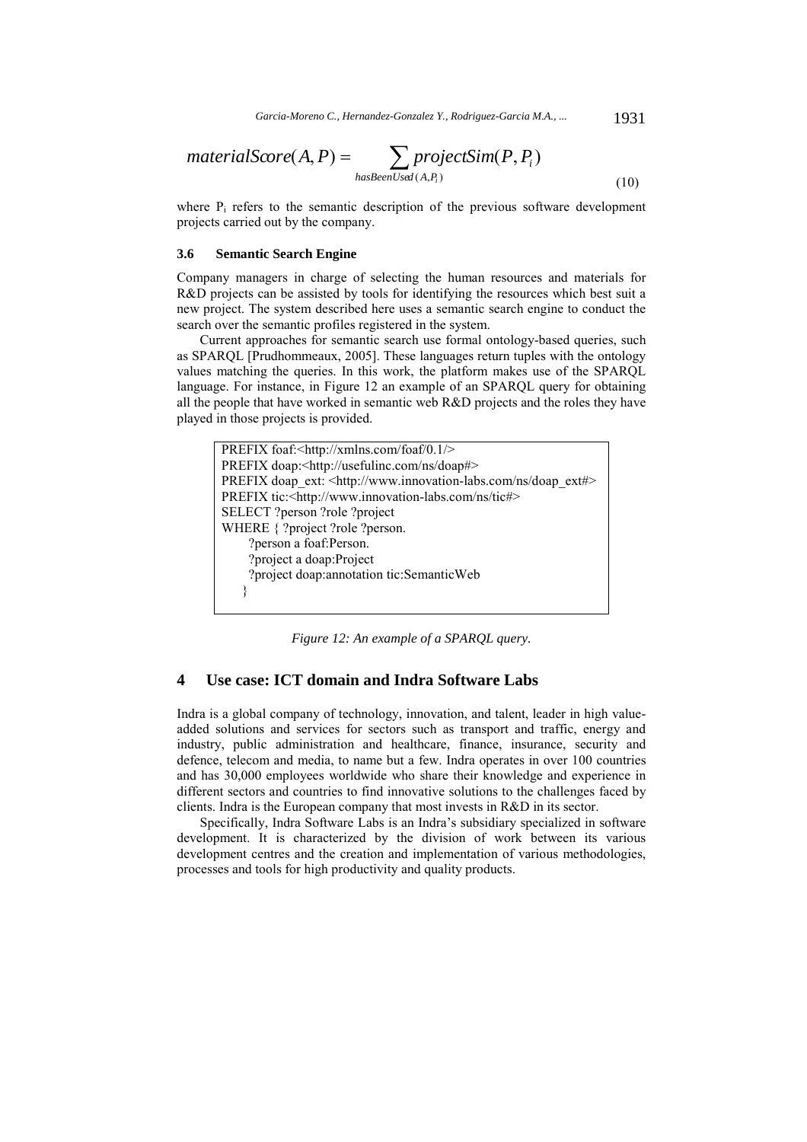$$
materialScore(A, P) = \sum_{hasBeenUsed(A, P_i)} projectSim(P, P_i)
$$
\n(10)

where P<sub>i</sub> refers to the semantic description of the previous software development projects carried out by the company.

#### **3.6 Semantic Search Engine**

Company managers in charge of selecting the human resources and materials for R&D projects can be assisted by tools for identifying the resources which best suit a new project. The system described here uses a semantic search engine to conduct the search over the semantic profiles registered in the system.

Current approaches for semantic search use formal ontology-based queries, such as SPARQL [Prudhommeaux, 2005]. These languages return tuples with the ontology values matching the queries. In this work, the platform makes use of the SPARQL language. For instance, in Figure 12 an example of an SPARQL query for obtaining all the people that have worked in semantic web R&D projects and the roles they have played in those projects is provided.



*Figure 12: An example of a SPARQL query.* 

# **4 Use case: ICT domain and Indra Software Labs**

Indra is a global company of technology, innovation, and talent, leader in high valueadded solutions and services for sectors such as transport and traffic, energy and industry, public administration and healthcare, finance, insurance, security and defence, telecom and media, to name but a few. Indra operates in over 100 countries and has 30,000 employees worldwide who share their knowledge and experience in different sectors and countries to find innovative solutions to the challenges faced by clients. Indra is the European company that most invests in R&D in its sector.

Specifically, Indra Software Labs is an Indra's subsidiary specialized in software development. It is characterized by the division of work between its various development centres and the creation and implementation of various methodologies, processes and tools for high productivity and quality products.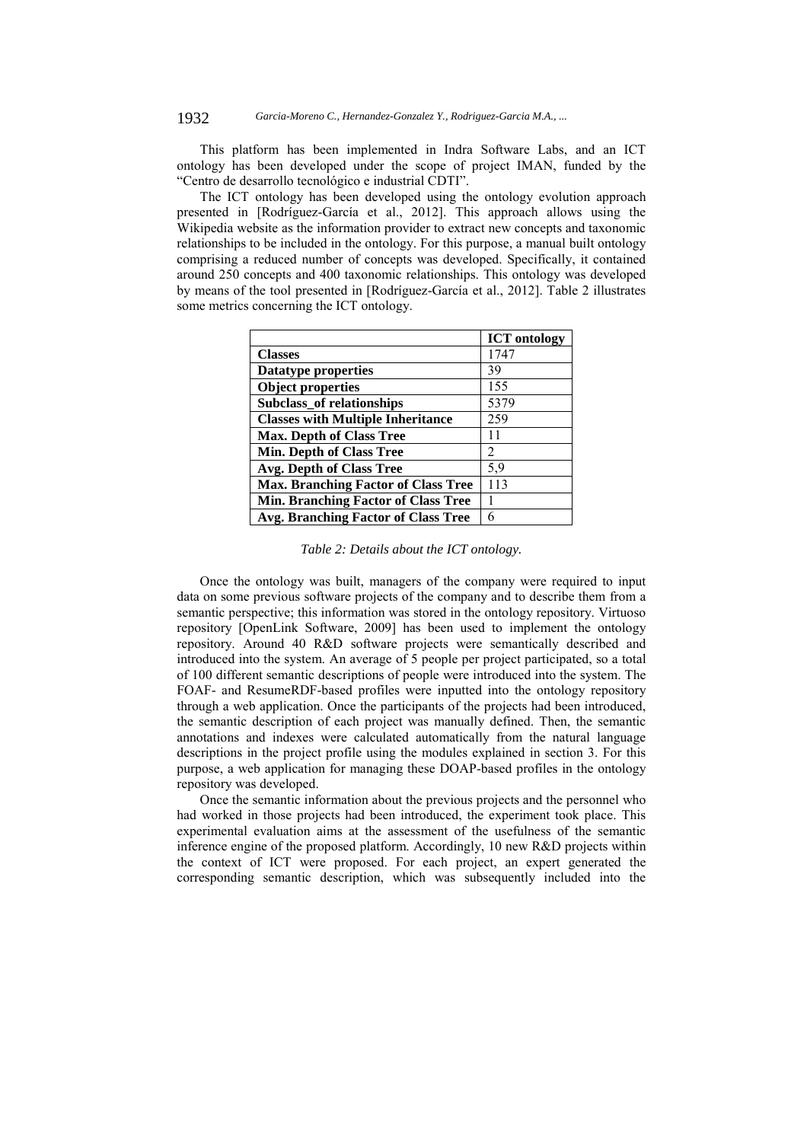This platform has been implemented in Indra Software Labs, and an ICT ontology has been developed under the scope of project IMAN, funded by the "Centro de desarrollo tecnológico e industrial CDTI".

The ICT ontology has been developed using the ontology evolution approach presented in [Rodríguez-García et al., 2012]. This approach allows using the Wikipedia website as the information provider to extract new concepts and taxonomic relationships to be included in the ontology. For this purpose, a manual built ontology comprising a reduced number of concepts was developed. Specifically, it contained around 250 concepts and 400 taxonomic relationships. This ontology was developed by means of the tool presented in [Rodríguez-García et al., 2012]. Table 2 illustrates some metrics concerning the ICT ontology.

|                                            | <b>ICT</b> ontology |
|--------------------------------------------|---------------------|
| <b>Classes</b>                             | 1747                |
| <b>Datatype properties</b>                 | 39                  |
| <b>Object properties</b>                   | 155                 |
| Subclass_of relationships                  | 5379                |
| <b>Classes with Multiple Inheritance</b>   | 259                 |
| <b>Max. Depth of Class Tree</b>            | 11                  |
| <b>Min. Depth of Class Tree</b>            | 2                   |
| <b>Avg. Depth of Class Tree</b>            | 5,9                 |
| <b>Max. Branching Factor of Class Tree</b> | 113                 |
| <b>Min. Branching Factor of Class Tree</b> |                     |
| Avg. Branching Factor of Class Tree        | 6                   |

*Table 2: Details about the ICT ontology.* 

Once the ontology was built, managers of the company were required to input data on some previous software projects of the company and to describe them from a semantic perspective; this information was stored in the ontology repository. Virtuoso repository [OpenLink Software, 2009] has been used to implement the ontology repository. Around 40 R&D software projects were semantically described and introduced into the system. An average of 5 people per project participated, so a total of 100 different semantic descriptions of people were introduced into the system. The FOAF- and ResumeRDF-based profiles were inputted into the ontology repository through a web application. Once the participants of the projects had been introduced, the semantic description of each project was manually defined. Then, the semantic annotations and indexes were calculated automatically from the natural language descriptions in the project profile using the modules explained in section 3. For this purpose, a web application for managing these DOAP-based profiles in the ontology repository was developed.

Once the semantic information about the previous projects and the personnel who had worked in those projects had been introduced, the experiment took place. This experimental evaluation aims at the assessment of the usefulness of the semantic inference engine of the proposed platform. Accordingly, 10 new R&D projects within the context of ICT were proposed. For each project, an expert generated the corresponding semantic description, which was subsequently included into the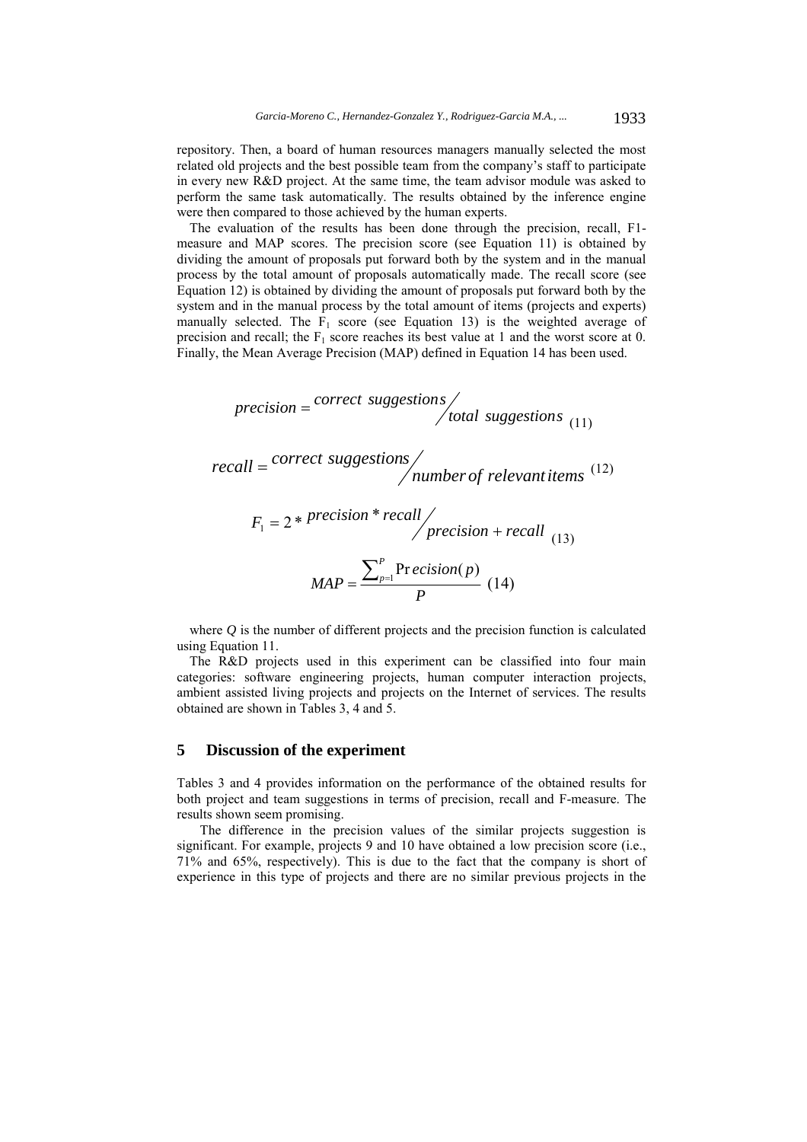repository. Then, a board of human resources managers manually selected the most related old projects and the best possible team from the company's staff to participate in every new R&D project. At the same time, the team advisor module was asked to perform the same task automatically. The results obtained by the inference engine were then compared to those achieved by the human experts.

The evaluation of the results has been done through the precision, recall, F1 measure and MAP scores. The precision score (see Equation 11) is obtained by dividing the amount of proposals put forward both by the system and in the manual process by the total amount of proposals automatically made. The recall score (see Equation 12) is obtained by dividing the amount of proposals put forward both by the system and in the manual process by the total amount of items (projects and experts) manually selected. The  $F_1$  score (see Equation 13) is the weighted average of precision and recall; the  $F_1$  score reaches its best value at 1 and the worst score at 0. Finally, the Mean Average Precision (MAP) defined in Equation 14 has been used.

$$
precision = \frac{correct\; suggestions}{total\; suggestions}_{(11)}
$$

(12) *number of relevantitems correct suggestions recall*

$$
F_1 = 2 * \text{precision} * \text{recall} / \text{precision} + \text{recall} \tag{13}
$$
\n
$$
MAP = \frac{\sum_{p=1}^{P} \text{Precision}(p)}{P} \tag{14}
$$

where *Q* is the number of different projects and the precision function is calculated using Equation 11.

The R&D projects used in this experiment can be classified into four main categories: software engineering projects, human computer interaction projects, ambient assisted living projects and projects on the Internet of services. The results obtained are shown in Tables 3, 4 and 5.

# **5 Discussion of the experiment**

Tables 3 and 4 provides information on the performance of the obtained results for both project and team suggestions in terms of precision, recall and F-measure. The results shown seem promising.

The difference in the precision values of the similar projects suggestion is significant. For example, projects 9 and 10 have obtained a low precision score (i.e., 71% and 65%, respectively). This is due to the fact that the company is short of experience in this type of projects and there are no similar previous projects in the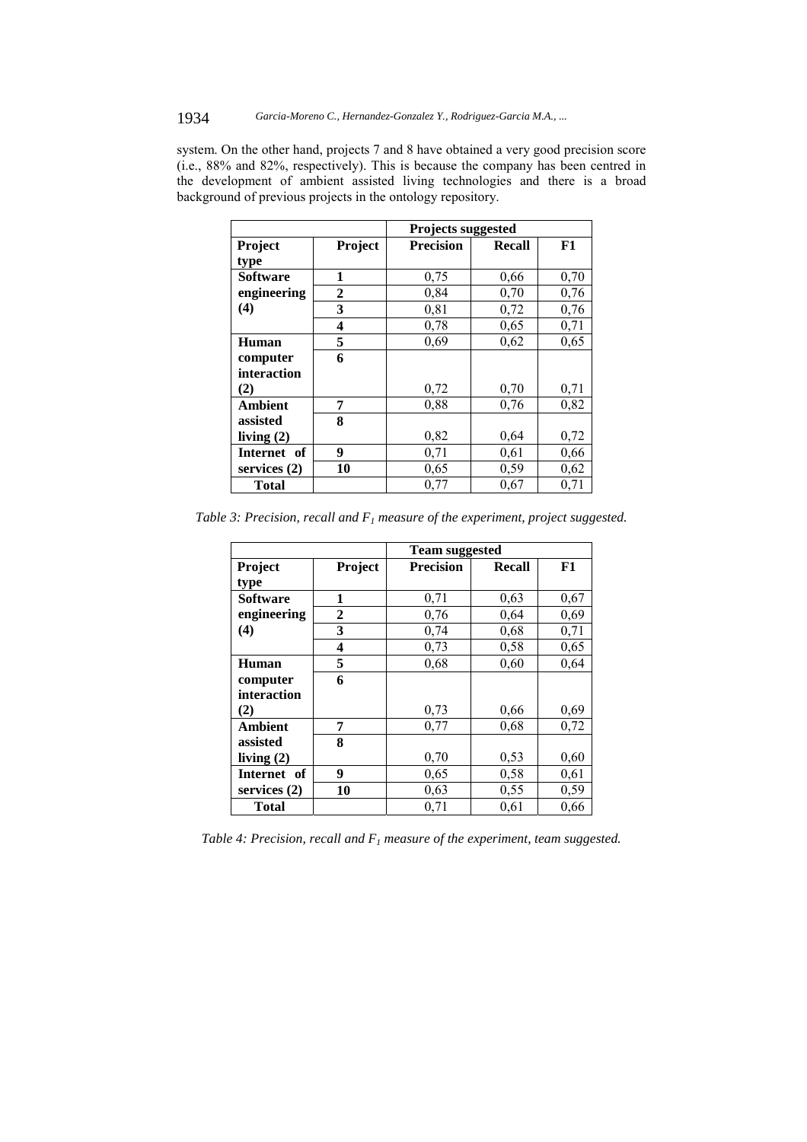system. On the other hand, projects 7 and 8 have obtained a very good precision score (i.e., 88% and 82%, respectively). This is because the company has been centred in the development of ambient assisted living technologies and there is a broad background of previous projects in the ontology repository.

|                 |              | Projects suggested |               |      |
|-----------------|--------------|--------------------|---------------|------|
| Project         | Project      | <b>Precision</b>   | <b>Recall</b> | F1   |
| type            |              |                    |               |      |
| <b>Software</b> | 1            | 0,75               | 0,66          | 0,70 |
| engineering     | $\mathbf{2}$ | 0,84               | 0,70          | 0,76 |
| (4)             | 3            | 0,81               | 0,72          | 0,76 |
|                 | 4            | 0,78               | 0,65          | 0,71 |
| Human           | 5            | 0,69               | 0,62          | 0,65 |
| computer        | 6            |                    |               |      |
| interaction     |              |                    |               |      |
| (2)             |              | 0,72               | 0,70          | 0,71 |
| <b>Ambient</b>  | 7            | 0,88               | 0,76          | 0,82 |
| assisted        | 8            |                    |               |      |
| living $(2)$    |              | 0,82               | 0,64          | 0,72 |
| Internet of     | 9            | 0,71               | 0,61          | 0,66 |
| services $(2)$  | 10           | 0,65               | 0,59          | 0,62 |
| Total           |              | 0,77               | 0,67          | 0,71 |

*Table 3: Precision, recall and*  $F_1$  *measure of the experiment, project suggested.* 

|                |                         | <b>Team suggested</b> |               |      |
|----------------|-------------------------|-----------------------|---------------|------|
| Project        | Project                 | <b>Precision</b>      | <b>Recall</b> | F1   |
| type           |                         |                       |               |      |
| Software       | 1                       | 0,71                  | 0,63          | 0,67 |
| engineering    | $\mathbf{2}$            | 0,76                  | 0,64          | 0,69 |
| (4)            | 3                       | 0,74                  | 0,68          | 0,71 |
|                | $\overline{\mathbf{4}}$ | 0,73                  | 0,58          | 0,65 |
| Human          | 5                       | 0,68                  | 0,60          | 0,64 |
| computer       | 6                       |                       |               |      |
| interaction    |                         |                       |               |      |
| (2)            |                         | 0,73                  | 0,66          | 0,69 |
| <b>Ambient</b> | 7                       | 0,77                  | 0,68          | 0,72 |
| assisted       | 8                       |                       |               |      |
| living $(2)$   |                         | 0,70                  | 0,53          | 0,60 |
| Internet of    | 9                       | 0,65                  | 0,58          | 0,61 |
| services $(2)$ | 10                      | 0,63                  | 0,55          | 0,59 |
| Total          |                         | 0,71                  | 0,61          | 0,66 |

*Table 4: Precision, recall and*  $F_1$  *measure of the experiment, team suggested.*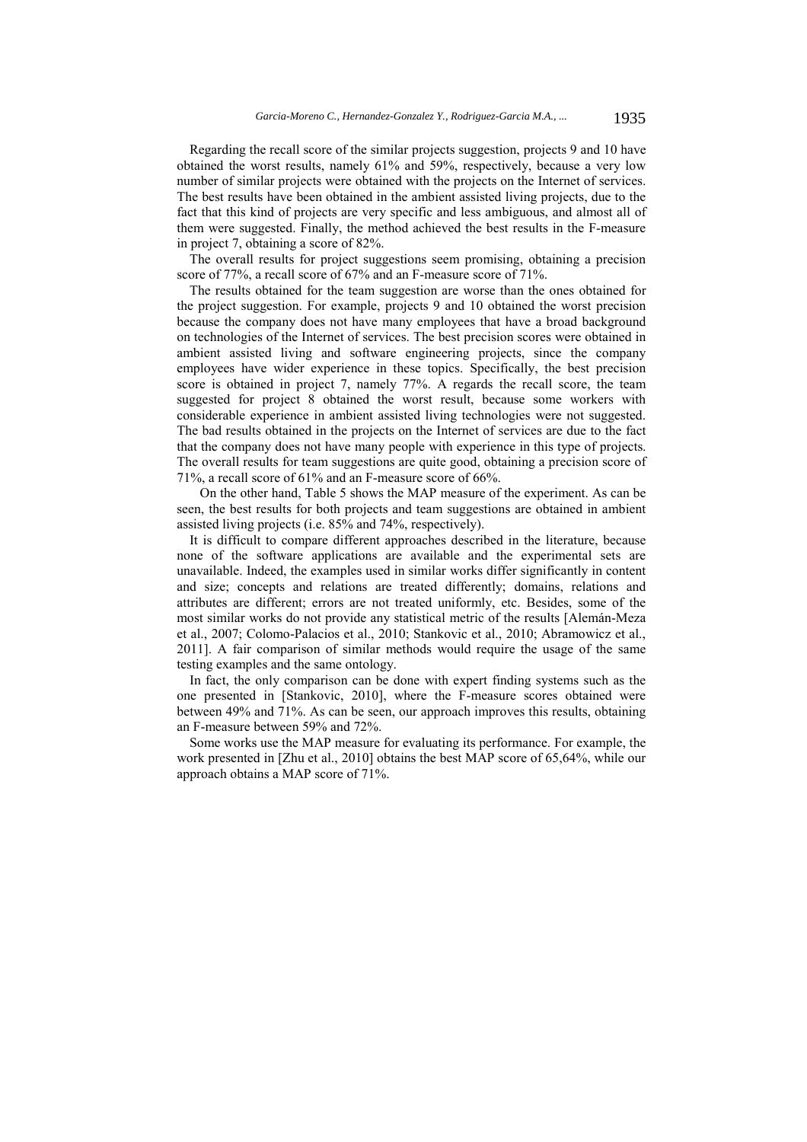Regarding the recall score of the similar projects suggestion, projects 9 and 10 have obtained the worst results, namely 61% and 59%, respectively, because a very low number of similar projects were obtained with the projects on the Internet of services. The best results have been obtained in the ambient assisted living projects, due to the fact that this kind of projects are very specific and less ambiguous, and almost all of them were suggested. Finally, the method achieved the best results in the F-measure in project 7, obtaining a score of 82%.

The overall results for project suggestions seem promising, obtaining a precision score of 77%, a recall score of 67% and an F-measure score of 71%.

The results obtained for the team suggestion are worse than the ones obtained for the project suggestion. For example, projects 9 and 10 obtained the worst precision because the company does not have many employees that have a broad background on technologies of the Internet of services. The best precision scores were obtained in ambient assisted living and software engineering projects, since the company employees have wider experience in these topics. Specifically, the best precision score is obtained in project 7, namely 77%. A regards the recall score, the team suggested for project 8 obtained the worst result, because some workers with considerable experience in ambient assisted living technologies were not suggested. The bad results obtained in the projects on the Internet of services are due to the fact that the company does not have many people with experience in this type of projects. The overall results for team suggestions are quite good, obtaining a precision score of 71%, a recall score of 61% and an F-measure score of 66%.

On the other hand, Table 5 shows the MAP measure of the experiment. As can be seen, the best results for both projects and team suggestions are obtained in ambient assisted living projects (i.e. 85% and 74%, respectively).

It is difficult to compare different approaches described in the literature, because none of the software applications are available and the experimental sets are unavailable. Indeed, the examples used in similar works differ significantly in content and size; concepts and relations are treated differently; domains, relations and attributes are different; errors are not treated uniformly, etc. Besides, some of the most similar works do not provide any statistical metric of the results [Alemán-Meza et al., 2007; Colomo-Palacios et al., 2010; Stankovic et al., 2010; Abramowicz et al., 2011]. A fair comparison of similar methods would require the usage of the same testing examples and the same ontology.

In fact, the only comparison can be done with expert finding systems such as the one presented in [Stankovic, 2010], where the F-measure scores obtained were between 49% and 71%. As can be seen, our approach improves this results, obtaining an F-measure between 59% and 72%.

Some works use the MAP measure for evaluating its performance. For example, the work presented in [Zhu et al., 2010] obtains the best MAP score of 65,64%, while our approach obtains a MAP score of 71%.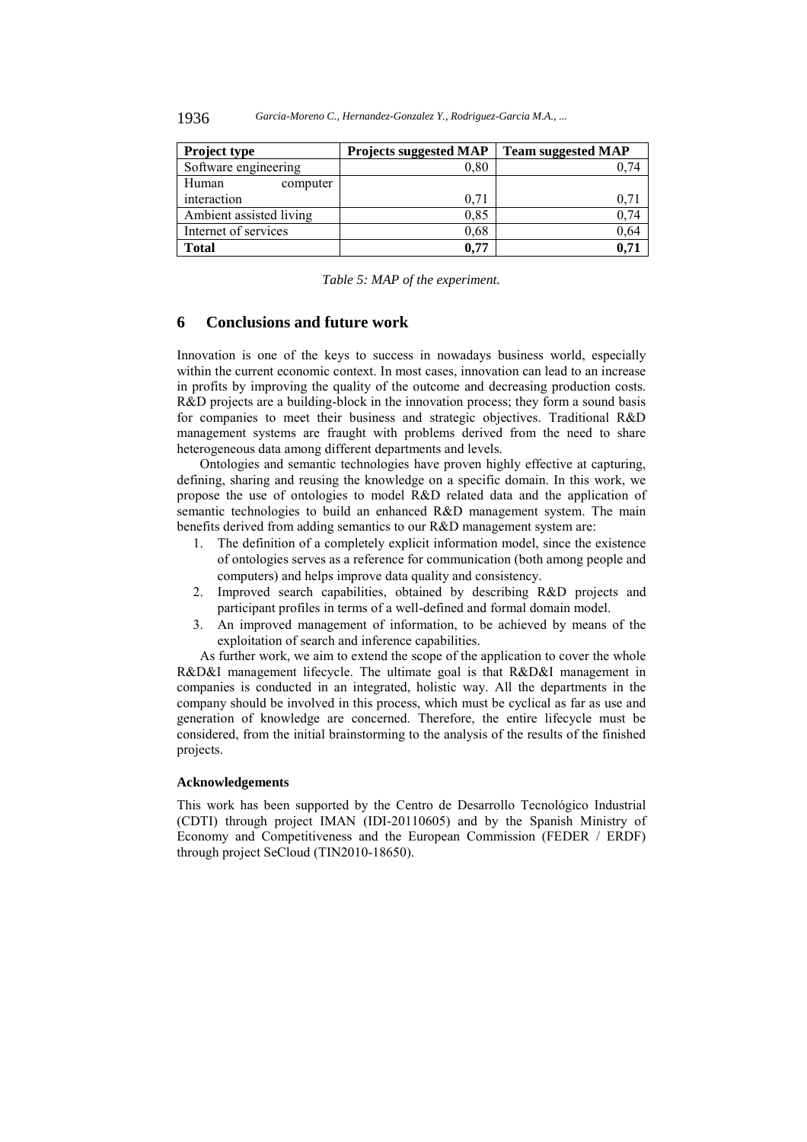| Project type            | <b>Projects suggested MAP</b> | <b>Team suggested MAP</b> |
|-------------------------|-------------------------------|---------------------------|
| Software engineering    | 0,80                          |                           |
| Human<br>computer       |                               |                           |
| interaction             | 0.71                          | 0.71                      |
| Ambient assisted living | 0,85                          | 0,74                      |
| Internet of services    | 0,68                          | 0,64                      |
| <b>Total</b>            | 0.77                          | 0.71                      |

*Table 5: MAP of the experiment.* 

## **6 Conclusions and future work**

Innovation is one of the keys to success in nowadays business world, especially within the current economic context. In most cases, innovation can lead to an increase in profits by improving the quality of the outcome and decreasing production costs. R&D projects are a building-block in the innovation process; they form a sound basis for companies to meet their business and strategic objectives. Traditional R&D management systems are fraught with problems derived from the need to share heterogeneous data among different departments and levels.

Ontologies and semantic technologies have proven highly effective at capturing, defining, sharing and reusing the knowledge on a specific domain. In this work, we propose the use of ontologies to model R&D related data and the application of semantic technologies to build an enhanced R&D management system. The main benefits derived from adding semantics to our R&D management system are:

- 1. The definition of a completely explicit information model, since the existence of ontologies serves as a reference for communication (both among people and computers) and helps improve data quality and consistency.
- 2. Improved search capabilities, obtained by describing R&D projects and participant profiles in terms of a well-defined and formal domain model.
- 3. An improved management of information, to be achieved by means of the exploitation of search and inference capabilities.

As further work, we aim to extend the scope of the application to cover the whole R&D&I management lifecycle. The ultimate goal is that R&D&I management in companies is conducted in an integrated, holistic way. All the departments in the company should be involved in this process, which must be cyclical as far as use and generation of knowledge are concerned. Therefore, the entire lifecycle must be considered, from the initial brainstorming to the analysis of the results of the finished projects.

#### **Acknowledgements**

This work has been supported by the Centro de Desarrollo Tecnológico Industrial (CDTI) through project IMAN (IDI-20110605) and by the Spanish Ministry of Economy and Competitiveness and the European Commission (FEDER / ERDF) through project SeCloud (TIN2010-18650).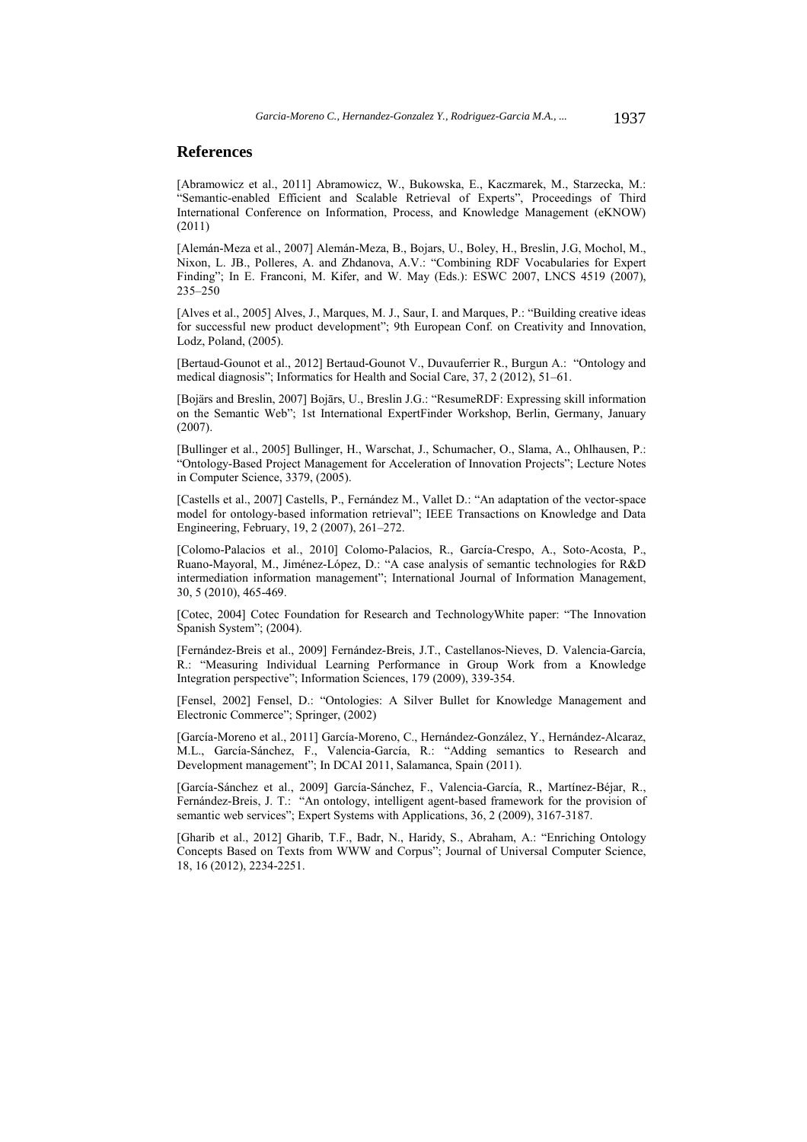# **References**

[Abramowicz et al., 2011] Abramowicz, W., Bukowska, E., Kaczmarek, M., Starzecka, M.: "Semantic-enabled Efficient and Scalable Retrieval of Experts", Proceedings of Third International Conference on Information, Process, and Knowledge Management (eKNOW) (2011)

[Alemán-Meza et al., 2007] Alemán-Meza, B., Bojars, U., Boley, H., Breslin, J.G, Mochol, M., Nixon, L. JB., Polleres, A. and Zhdanova, A.V.: "Combining RDF Vocabularies for Expert Finding"; In E. Franconi, M. Kifer, and W. May (Eds.): ESWC 2007, LNCS 4519 (2007), 235–250

[Alves et al., 2005] Alves, J., Marques, M. J., Saur, I. and Marques, P.: "Building creative ideas for successful new product development"; 9th European Conf. on Creativity and Innovation, Lodz, Poland, (2005).

[Bertaud-Gounot et al., 2012] Bertaud-Gounot V., Duvauferrier R., Burgun A.: "Ontology and medical diagnosis"; Informatics for Health and Social Care, 37, 2 (2012), 51–61.

[Bojärs and Breslin, 2007] Bojārs, U., Breslin J.G.: "ResumeRDF: Expressing skill information on the Semantic Web"; 1st International ExpertFinder Workshop, Berlin, Germany, January  $(2007)$ 

[Bullinger et al., 2005] Bullinger, H., Warschat, J., Schumacher, O., Slama, A., Ohlhausen, P.: "Ontology-Based Project Management for Acceleration of Innovation Projects"; Lecture Notes in Computer Science, 3379, (2005).

[Castells et al., 2007] Castells, P., Fernández M., Vallet D.: "An adaptation of the vector-space model for ontology-based information retrieval"; IEEE Transactions on Knowledge and Data Engineering, February, 19, 2 (2007), 261–272.

[Colomo-Palacios et al., 2010] Colomo-Palacios, R., García-Crespo, A., Soto-Acosta, P., Ruano-Mayoral, M., Jiménez-López, D.: "A case analysis of semantic technologies for R&D intermediation information management"; International Journal of Information Management, 30, 5 (2010), 465-469.

[Cotec, 2004] Cotec Foundation for Research and TechnologyWhite paper: "The Innovation Spanish System"; (2004).

[Fernández-Breis et al., 2009] Fernández-Breis, J.T., Castellanos-Nieves, D. Valencia-García, R.: "Measuring Individual Learning Performance in Group Work from a Knowledge Integration perspective"; Information Sciences, 179 (2009), 339-354.

[Fensel, 2002] Fensel, D.: "Ontologies: A Silver Bullet for Knowledge Management and Electronic Commerce"; Springer, (2002)

[García-Moreno et al., 2011] García-Moreno, C., Hernández-González, Y., Hernández-Alcaraz, M.L., García-Sánchez, F., Valencia-García, R.: "Adding semantics to Research and Development management"; In DCAI 2011, Salamanca, Spain (2011).

[García-Sánchez et al., 2009] García-Sánchez, F., Valencia-García, R., Martínez-Béjar, R., Fernández-Breis, J. T.: "An ontology, intelligent agent-based framework for the provision of semantic web services"; Expert Systems with Applications, 36, 2 (2009), 3167-3187.

[Gharib et al., 2012] Gharib, T.F., Badr, N., Haridy, S., Abraham, A.: "Enriching Ontology Concepts Based on Texts from WWW and Corpus"; Journal of Universal Computer Science, 18, 16 (2012), 2234-2251.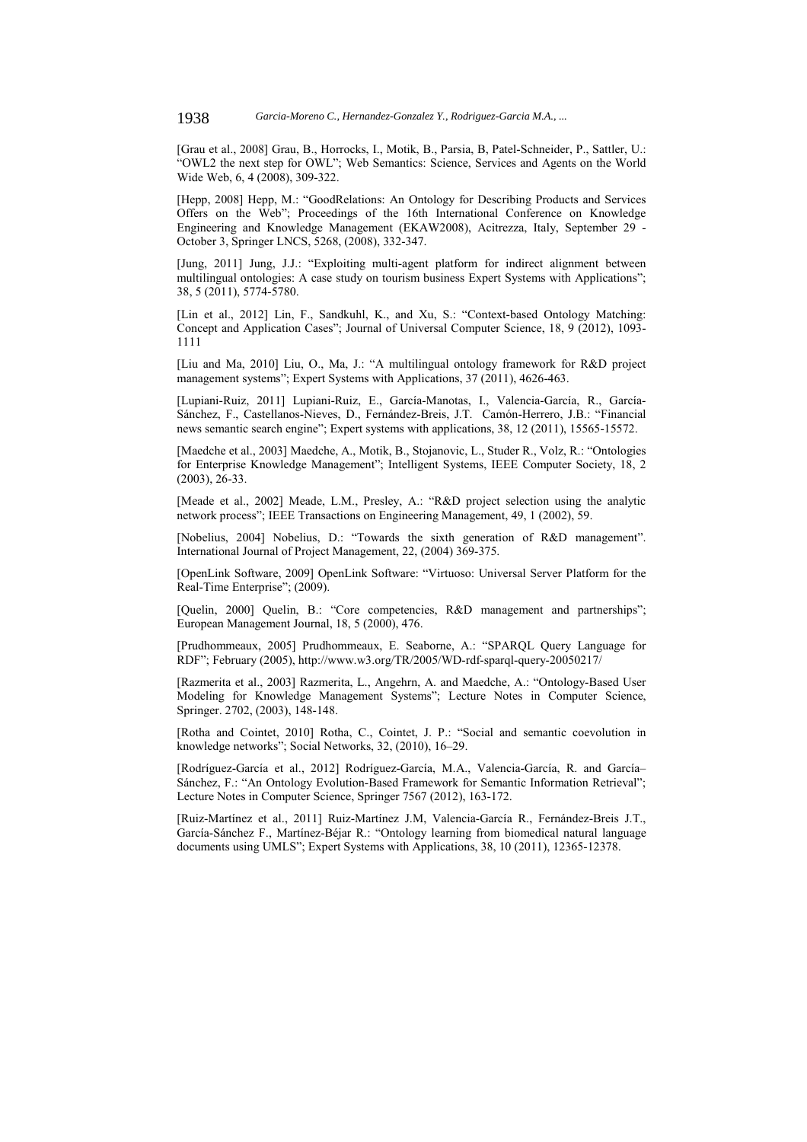[Grau et al., 2008] Grau, B., Horrocks, I., Motik, B., Parsia, B, Patel-Schneider, P., Sattler, U.: "OWL2 the next step for OWL"; Web Semantics: Science, Services and Agents on the World Wide Web, 6, 4 (2008), 309-322.

[Hepp, 2008] Hepp, M.: "GoodRelations: An Ontology for Describing Products and Services Offers on the Web"; Proceedings of the 16th International Conference on Knowledge Engineering and Knowledge Management (EKAW2008), Acitrezza, Italy, September 29 - October 3, Springer LNCS, 5268, (2008), 332-347.

[Jung, 2011] Jung, J.J.: "Exploiting multi-agent platform for indirect alignment between multilingual ontologies: A case study on tourism business Expert Systems with Applications"; 38, 5 (2011), 5774-5780.

[Lin et al., 2012] Lin, F., Sandkuhl, K., and Xu, S.: "Context-based Ontology Matching: Concept and Application Cases"; Journal of Universal Computer Science, 18, 9 (2012), 1093- 1111

[Liu and Ma, 2010] Liu, O., Ma, J.: "A multilingual ontology framework for R&D project management systems"; Expert Systems with Applications, 37 (2011), 4626-463.

[Lupiani-Ruiz, 2011] Lupiani-Ruiz, E., García-Manotas, I., Valencia-García, R., García-Sánchez, F., Castellanos-Nieves, D., Fernández-Breis, J.T. Camón-Herrero, J.B.: "Financial news semantic search engine"; Expert systems with applications, 38, 12 (2011), 15565-15572.

[Maedche et al., 2003] Maedche, A., Motik, B., Stojanovic, L., Studer R., Volz, R.: "Ontologies for Enterprise Knowledge Management"; Intelligent Systems, IEEE Computer Society, 18, 2 (2003), 26-33.

[Meade et al., 2002] Meade, L.M., Presley, A.: "R&D project selection using the analytic network process"; IEEE Transactions on Engineering Management, 49, 1 (2002), 59.

[Nobelius, 2004] Nobelius, D.: "Towards the sixth generation of R&D management". International Journal of Project Management, 22, (2004) 369-375.

[OpenLink Software, 2009] OpenLink Software: "Virtuoso: Universal Server Platform for the Real-Time Enterprise"; (2009).

[Quelin, 2000] Quelin, B.: "Core competencies, R&D management and partnerships"; European Management Journal, 18, 5 (2000), 476.

[Prudhommeaux, 2005] Prudhommeaux, E. Seaborne, A.: "SPARQL Query Language for RDF"; February (2005), http://www.w3.org/TR/2005/WD-rdf-sparql-query-20050217/

[Razmerita et al., 2003] Razmerita, L., Angehrn, A. and Maedche, A.: "Ontology-Based User Modeling for Knowledge Management Systems"; Lecture Notes in Computer Science, Springer. 2702, (2003), 148-148.

[Rotha and Cointet, 2010] Rotha, C., Cointet, J. P.: "Social and semantic coevolution in knowledge networks"; Social Networks, 32, (2010), 16–29.

[Rodríguez-García et al., 2012] Rodríguez-García, M.A., Valencia-García, R. and García– Sánchez, F.: "An Ontology Evolution-Based Framework for Semantic Information Retrieval"; Lecture Notes in Computer Science, Springer 7567 (2012), 163-172.

[Ruiz-Martínez et al., 2011] Ruiz-Martínez J.M, Valencia-García R., Fernández-Breis J.T., García-Sánchez F., Martínez-Béjar R.: "Ontology learning from biomedical natural language documents using UMLS"; Expert Systems with Applications, 38, 10 (2011), 12365-12378.